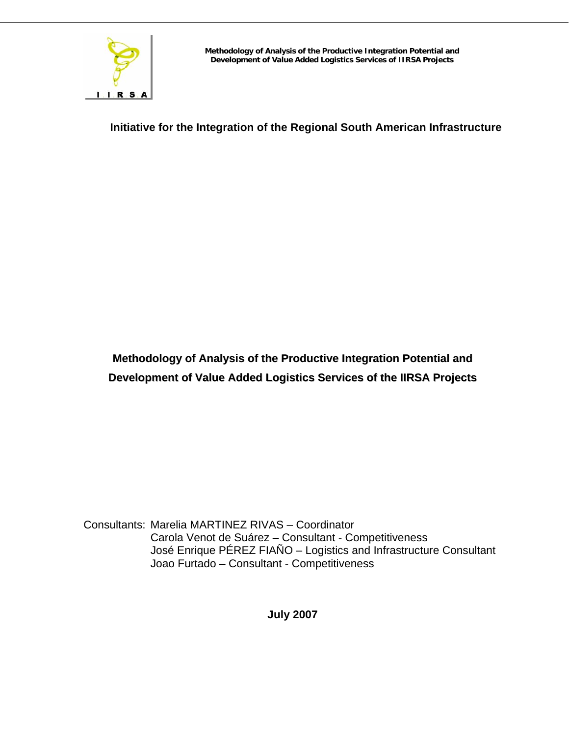

**Initiative for the Integration of the Regional South American Infrastructure** 

**Methodology of Analysis of the Productive Integration Potential and Development of Value Added Logistics Services of the IIRSA Projects**

Consultants: Marelia MARTINEZ RIVAS – Coordinator Carola Venot de Suárez – Consultant - Competitiveness José Enrique PÉREZ FIAÑO – Logistics and Infrastructure Consultant Joao Furtado – Consultant - Competitiveness

**July 2007**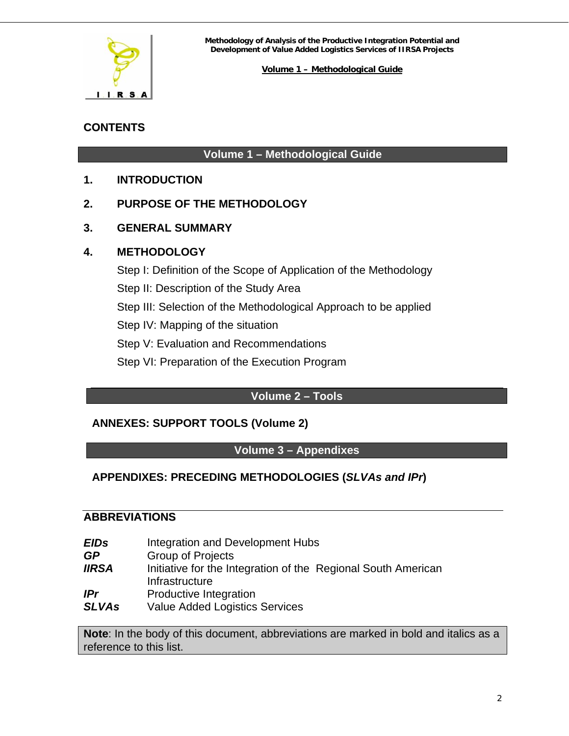

#### **Volume 1 – Methodological Guide**

# **CONTENTS**

# **Volume 1 – Methodological Guide**

- **1. [INTRODUCTION](#page-2-0)**
- **2. [PURPOSE OF THE METHODOLOGY](#page-3-0)**
- **3. [GENERAL SUMMARY](#page-5-0)**

# **4. [METHODOLOGY](#page-12-0)**

[Step I: Definition of the Scope of Application of the Methodology](#page-13-0) [Step II: Description of the Study Area](#page-17-0) [Step III: Selection of the Methodological Approach to be applied](#page-24-0) [Step IV: Mapping of the situation](#page-50-0) [Step V: Evaluation and Recommendations](#page-59-0) [Step VI: Preparation of the Execution Program](#page-65-0)

# **Volume 2 – Tools**

# **ANNEXES: SUPPORT TOOLS (Volume 2)**

# **Volume 3 – Appendixes**

# **APPENDIXES: PRECEDING METHODOLOGIES (***SLVAs and IPr***)**

#### **ABBREVIATIONS**

*EIDs* Integration and Development Hubs *GP* Group of Projects **IIRSA** Initiative for the Integration of the Regional South American Infrastructure *IPr* Productive Integration **SLVAs** Value Added Logistics Services

**Note**: In the body of this document, abbreviations are marked in bold and italics as a reference to this list.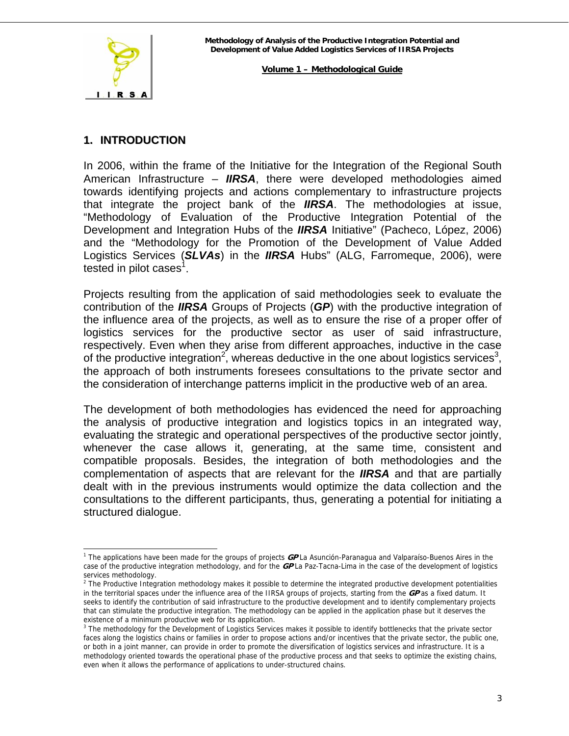<span id="page-2-0"></span>

 $\overline{a}$ 

#### **Volume 1 – Methodological Guide**

# **1. INTRODUCTION**

In 2006, within the frame of the Initiative for the Integration of the Regional South American Infrastructure – *IIRSA*, there were developed methodologies aimed towards identifying projects and actions complementary to infrastructure projects that integrate the project bank of the *IIRSA*. The methodologies at issue, "Methodology of Evaluation of the Productive Integration Potential of the Development and Integration Hubs of the *IIRSA* Initiative" (Pacheco, López, 2006) and the "Methodology for the Promotion of the Development of Value Added Logistics Services (*SLVAs*) in the *IIRSA* Hubs" (ALG, Farromeque, 2006), were tested in pilot cases<sup>[1](#page-2-1)</sup>.

Projects resulting from the application of said methodologies seek to evaluate the contribution of the *IIRSA* Groups of Projects (*GP*) with the productive integration of the influence area of the projects, as well as to ensure the rise of a proper offer of logistics services for the productive sector as user of said infrastructure, respectively. Even when they arise from different approaches, inductive in the case of the productive integration<sup>[2](#page-2-2)</sup>, whereas deductive in the one about logistics services<sup>[3](#page-2-3)</sup>, the approach of both instruments foresees consultations to the private sector and the consideration of interchange patterns implicit in the productive web of an area.

The development of both methodologies has evidenced the need for approaching the analysis of productive integration and logistics topics in an integrated way, evaluating the strategic and operational perspectives of the productive sector jointly, whenever the case allows it, generating, at the same time, consistent and compatible proposals. Besides, the integration of both methodologies and the complementation of aspects that are relevant for the *IIRSA* and that are partially dealt with in the previous instruments would optimize the data collection and the consultations to the different participants, thus, generating a potential for initiating a structured dialogue.

<span id="page-2-1"></span><sup>1</sup> The applications have been made for the groups of projects **GP** La Asunción-Paranagua and Valparaíso-Buenos Aires in the case of the productive integration methodology, and for the **GP** La Paz-Tacna-Lima in the case of the development of logistics services methodology.<br><sup>2</sup> The Productive Integration methodology makes it possible to determine the integrated productive development potentialities

<span id="page-2-2"></span>in the territorial spaces under the influence area of the IIRSA groups of projects, starting from the **GP** as a fixed datum. It seeks to identify the contribution of said infrastructure to the productive development and to identify complementary projects that can stimulate the productive integration. The methodology can be applied in the application phase but it deserves the existence of a minimum productive web for its application.

<span id="page-2-3"></span><sup>&</sup>lt;sup>3</sup> The methodology for the Development of Logistics Services makes it possible to identify bottlenecks that the private sector faces along the logistics chains or families in order to propose actions and/or incentives that the private sector, the public one, or both in a joint manner, can provide in order to promote the diversification of logistics services and infrastructure. It is a methodology oriented towards the operational phase of the productive process and that seeks to optimize the existing chains, even when it allows the performance of applications to under-structured chains.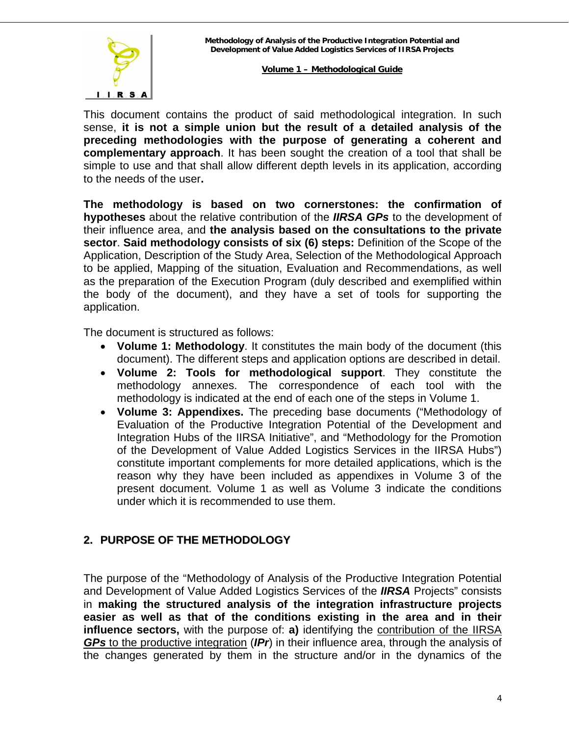<span id="page-3-0"></span>

This document contains the product of said methodological integration. In such sense, **it is not a simple union but the result of a detailed analysis of the preceding methodologies with the purpose of generating a coherent and complementary approach**. It has been sought the creation of a tool that shall be simple to use and that shall allow different depth levels in its application, according to the needs of the user**.**

**The methodology is based on two cornerstones: the confirmation of hypotheses** about the relative contribution of the *IIRSA GPs* to the development of their influence area, and **the analysis based on the consultations to the private sector**. **Said methodology consists of six (6) steps:** Definition of the Scope of the Application, Description of the Study Area, Selection of the Methodological Approach to be applied, Mapping of the situation, Evaluation and Recommendations, as well as the preparation of the Execution Program (duly described and exemplified within the body of the document), and they have a set of tools for supporting the application.

The document is structured as follows:

- **Volume 1: Methodology**. It constitutes the main body of the document (this document). The different steps and application options are described in detail.
- **Volume 2: Tools for methodological support**. They constitute the methodology annexes. The correspondence of each tool with the methodology is indicated at the end of each one of the steps in Volume 1.
- **Volume 3: Appendixes.** The preceding base documents ("Methodology of Evaluation of the Productive Integration Potential of the Development and Integration Hubs of the IIRSA Initiative", and "Methodology for the Promotion of the Development of Value Added Logistics Services in the IIRSA Hubs") constitute important complements for more detailed applications, which is the reason why they have been included as appendixes in Volume 3 of the present document. Volume 1 as well as Volume 3 indicate the conditions under which it is recommended to use them.

# **2. PURPOSE OF THE METHODOLOGY**

The purpose of the "Methodology of Analysis of the Productive Integration Potential and Development of Value Added Logistics Services of the *IIRSA* Projects" consists in **making the structured analysis of the integration infrastructure projects easier as well as that of the conditions existing in the area and in their influence sectors,** with the purpose of: **a)** identifying the **contribution of the IIRSA** *GPs* to the productive integration (*IPr*) in their influence area, through the analysis of the changes generated by them in the structure and/or in the dynamics of the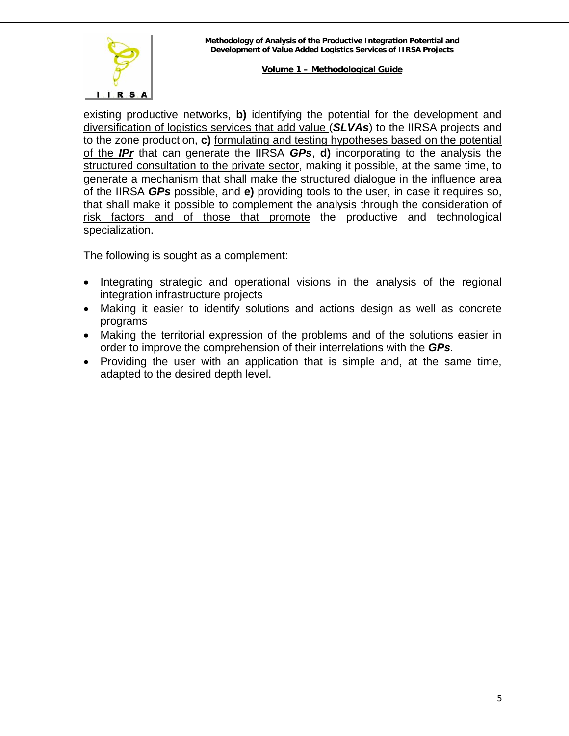

existing productive networks, **b)** identifying the potential for the development and diversification of logistics services that add value (*SLVAs*) to the IIRSA projects and to the zone production, **c)** formulating and testing hypotheses based on the potential of the *IPr* that can generate the IIRSA *GPs*, **d)** incorporating to the analysis the structured consultation to the private sector, making it possible, at the same time, to generate a mechanism that shall make the structured dialogue in the influence area of the IIRSA *GPs* possible, and **e)** providing tools to the user, in case it requires so, that shall make it possible to complement the analysis through the consideration of risk factors and of those that promote the productive and technological specialization.

The following is sought as a complement:

- Integrating strategic and operational visions in the analysis of the regional integration infrastructure projects
- Making it easier to identify solutions and actions design as well as concrete programs
- Making the territorial expression of the problems and of the solutions easier in order to improve the comprehension of their interrelations with the *GPs.*
- Providing the user with an application that is simple and, at the same time, adapted to the desired depth level.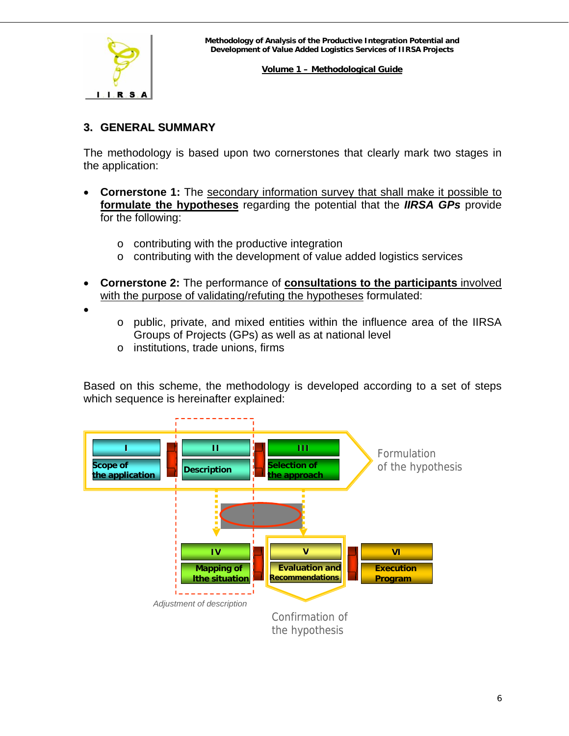<span id="page-5-0"></span>

# **3. GENERAL SUMMARY**

The methodology is based upon two cornerstones that clearly mark two stages in the application:

- **Cornerstone 1:** The secondary information survey that shall make it possible to **formulate the hypotheses** regarding the potential that the *IIRSA GPs* provide for the following:
	- o contributing with the productive integration
	- o contributing with the development of value added logistics services
- **Cornerstone 2:** The performance of **consultations to the participants** involved with the purpose of validating/refuting the hypotheses formulated:
- •
- o public, private, and mixed entities within the influence area of the IIRSA Groups of Projects (GPs) as well as at national level
- o institutions, trade unions, firms

Based on this scheme, the methodology is developed according to a set of steps which sequence is hereinafter explained:

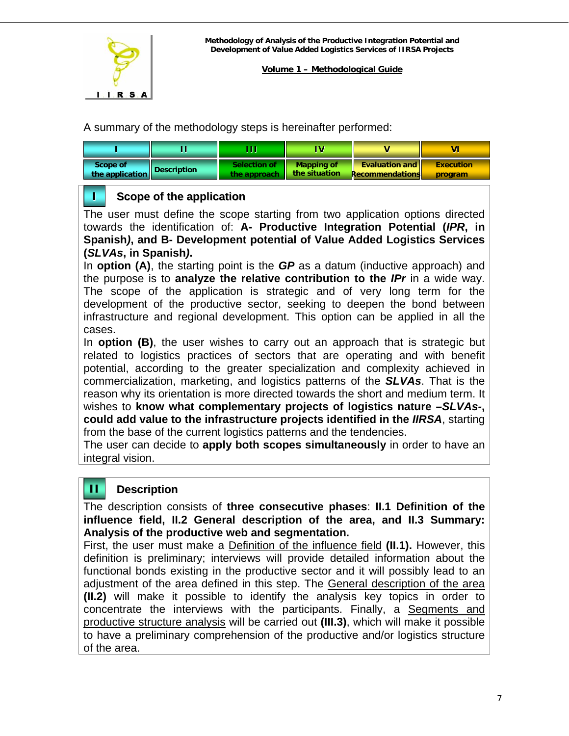

A summary of the methodology steps is hereinafter performed:

| <b>Scope of</b> | Description | Selection of | <b>Mapping of</b> | <b>Evaluation and</b> | <b>Execution</b> |
|-----------------|-------------|--------------|-------------------|-----------------------|------------------|
| the application |             | the approach | the situation     | Recommendations       | program          |

# **I Scope of the application**

The user must define the scope starting from two application options directed towards the identification of: **A- Productive Integration Potential (***IPR***, in Spanish***)***, and B- Development potential of Value Added Logistics Services (***SLVAs***, in Spanish***)***.** 

In **option (A)**, the starting point is the *GP* as a datum (inductive approach) and the purpose is to **analyze the relative contribution to the** *IPr* in a wide way. The scope of the application is strategic and of very long term for the development of the productive sector, seeking to deepen the bond between infrastructure and regional development. This option can be applied in all the cases.

In **option (B)**, the user wishes to carry out an approach that is strategic but related to logistics practices of sectors that are operating and with benefit potential, according to the greater specialization and complexity achieved in commercialization, marketing, and logistics patterns of the *SLVAs*. That is the reason why its orientation is more directed towards the short and medium term. It wishes to **know what complementary projects of logistics nature –***SLVAs-***, could add value to the infrastructure projects identified in the** *IIRSA*, starting from the base of the current logistics patterns and the tendencies.

The user can decide to **apply both scopes simultaneously** in order to have an integral vision.

# **II Description**

The description consists of **three consecutive phases**: **II.1 Definition of the influence field, II.2 General description of the area, and II.3 Summary: Analysis of the productive web and segmentation.**

First, the user must make a Definition of the influence field **(II.1).** However, this definition is preliminary; interviews will provide detailed information about the functional bonds existing in the productive sector and it will possibly lead to an adjustment of the area defined in this step. The General description of the area **(II.2)** will make it possible to identify the analysis key topics in order to concentrate the interviews with the participants. Finally, a Segments and productive structure analysis will be carried out **(III.3)**, which will make it possible to have a preliminary comprehension of the productive and/or logistics structure of the area.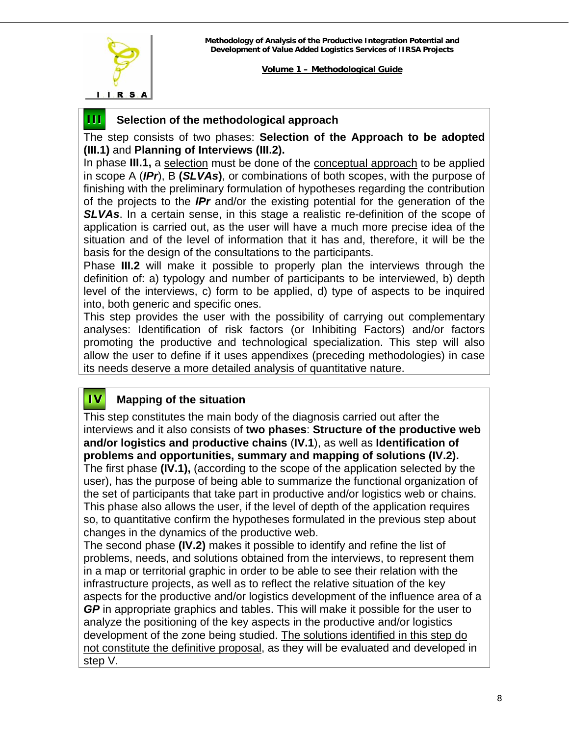

# **III Selection of the methodological approach**

The step consists of two phases: **Selection of the Approach to be adopted (III.1)** and **Planning of Interviews (III.2).** 

In phase **III.1,** a selection must be done of the conceptual approach to be applied in scope A (*IPr*), B **(***SLVAs***)**, or combinations of both scopes, with the purpose of finishing with the preliminary formulation of hypotheses regarding the contribution of the projects to the *IPr* and/or the existing potential for the generation of the **SLVAs**. In a certain sense, in this stage a realistic re-definition of the scope of application is carried out, as the user will have a much more precise idea of the situation and of the level of information that it has and, therefore, it will be the basis for the design of the consultations to the participants.

Phase **III.2** will make it possible to properly plan the interviews through the definition of: a) typology and number of participants to be interviewed, b) depth level of the interviews, c) form to be applied, d) type of aspects to be inquired into, both generic and specific ones.

This step provides the user with the possibility of carrying out complementary analyses: Identification of risk factors (or Inhibiting Factors) and/or factors promoting the productive and technological specialization. This step will also allow the user to define if it uses appendixes (preceding methodologies) in case its needs deserve a more detailed analysis of quantitative nature.

# **IV Mapping of the situation**

This step constitutes the main body of the diagnosis carried out after the interviews and it also consists of **two phases**: **Structure of the productive web and/or logistics and productive chains** (**IV.1**), as well as **Identification of problems and opportunities, summary and mapping of solutions (IV.2).**

The first phase **(IV.1),** (according to the scope of the application selected by the user), has the purpose of being able to summarize the functional organization of the set of participants that take part in productive and/or logistics web or chains. This phase also allows the user, if the level of depth of the application requires so, to quantitative confirm the hypotheses formulated in the previous step about changes in the dynamics of the productive web.

The second phase **(IV.2)** makes it possible to identify and refine the list of problems, needs, and solutions obtained from the interviews, to represent them in a map or territorial graphic in order to be able to see their relation with the infrastructure projects, as well as to reflect the relative situation of the key aspects for the productive and/or logistics development of the influence area of a *GP* in appropriate graphics and tables. This will make it possible for the user to analyze the positioning of the key aspects in the productive and/or logistics development of the zone being studied. The solutions identified in this step do not constitute the definitive proposal, as they will be evaluated and developed in step V.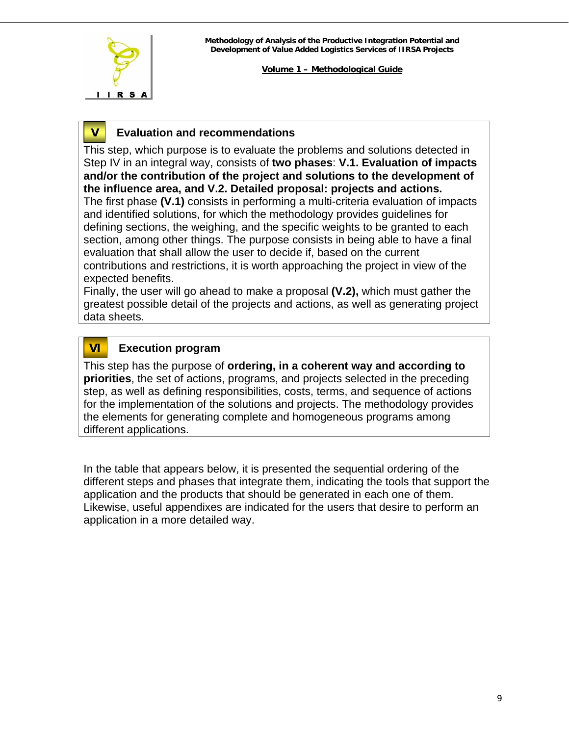

# **V Evaluation and recommendations**

This step, which purpose is to evaluate the problems and solutions detected in Step IV in an integral way, consists of **two phases**: **V.1. Evaluation of impacts and/or the contribution of the project and solutions to the development of the influence area, and V.2. Detailed proposal: projects and actions.** The first phase **(V.1)** consists in performing a multi-criteria evaluation of impacts and identified solutions, for which the methodology provides guidelines for defining sections, the weighing, and the specific weights to be granted to each section, among other things. The purpose consists in being able to have a final evaluation that shall allow the user to decide if, based on the current contributions and restrictions, it is worth approaching the project in view of the expected benefits.

Finally, the user will go ahead to make a proposal **(V.2),** which must gather the greatest possible detail of the projects and actions, as well as generating project data sheets.

# **VI Execution program**

This step has the purpose of **ordering, in a coherent way and according to priorities**, the set of actions, programs, and projects selected in the preceding step, as well as defining responsibilities, costs, terms, and sequence of actions for the implementation of the solutions and projects. The methodology provides the elements for generating complete and homogeneous programs among different applications.

In the table that appears below, it is presented the sequential ordering of the different steps and phases that integrate them, indicating the tools that support the application and the products that should be generated in each one of them. Likewise, useful appendixes are indicated for the users that desire to perform an application in a more detailed way.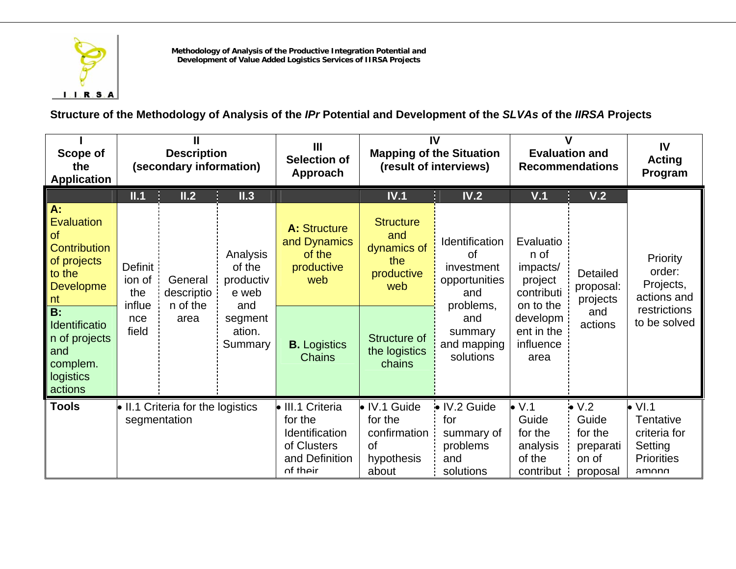

**Structure of the Methodology of Analysis of the** *IPr* **Potential and Development of the** *SLVAs* **of the** *IIRSA* **Projects** 

| Scope of<br>the<br><b>Application</b>                                                                          |                                    | <b>Description</b><br>(secondary information)                                    |                                                 | IV<br>$\mathbf{III}$<br><b>Mapping of the Situation</b><br><b>Selection of</b><br>(result of interviews)<br>Approach |                                                                             | <b>Evaluation and</b><br><b>Recommendations</b>                                |                                                                      | IV<br><b>Acting</b><br>Program                            |                                                                                                 |
|----------------------------------------------------------------------------------------------------------------|------------------------------------|----------------------------------------------------------------------------------|-------------------------------------------------|----------------------------------------------------------------------------------------------------------------------|-----------------------------------------------------------------------------|--------------------------------------------------------------------------------|----------------------------------------------------------------------|-----------------------------------------------------------|-------------------------------------------------------------------------------------------------|
|                                                                                                                | II.1                               | II.2                                                                             | II.3                                            |                                                                                                                      | IV.1                                                                        | IV.2                                                                           | V.1                                                                  | V.2                                                       |                                                                                                 |
| A:<br><b>Evaluation</b><br><b>of</b><br><b>Contribution</b><br>of projects<br>to the<br><b>Developme</b><br>nt | Definit<br>ion of<br>the<br>influe | General<br>descriptio<br>n of the                                                | Analysis<br>of the<br>productiv<br>e web<br>and | <b>A: Structure</b><br>and Dynamics<br>of the<br>productive<br>web                                                   | <b>Structure</b><br>and<br>dynamics of<br>the<br>productive<br>web          | Identification<br><b>of</b><br>investment<br>opportunities<br>and<br>problems, | Evaluatio<br>n of<br>impacts/<br>project<br>contributi<br>on to the  | <b>Detailed</b><br>proposal:<br>projects                  | Priority<br>order:<br>Projects,<br>actions and                                                  |
| $\overline{B}$ :<br>Identificatio<br>n of projects<br>and<br>complem.<br>logistics<br>actions                  | nce<br>field                       | area                                                                             | segment<br>ation.<br>Summary                    | <b>B.</b> Logistics<br><b>Chains</b>                                                                                 | Structure of<br>the logistics<br>chains                                     | and<br>summary<br>and mapping<br>solutions                                     | developm<br>ent in the<br>influence<br>area                          | and<br>actions                                            | restrictions<br>to be solved                                                                    |
| <b>Tools</b>                                                                                                   |                                    | $\bullet$ II.1 Criteria for the logistics<br>for the<br>segmentation<br>of their |                                                 | • III.1 Criteria<br>Identification<br>of Clusters<br>and Definition                                                  | • IV.1 Guide<br>for the<br>confirmation<br><b>of</b><br>hypothesis<br>about | • IV.2 Guide<br>for<br>summary of<br>problems<br>and<br>solutions              | $\bullet$ V.1<br>Guide<br>for the<br>analysis<br>of the<br>contribut | V.2<br>Guide<br>for the<br>preparati<br>on of<br>proposal | $\bullet$ VI.1<br>Tentative<br>criteria for<br>Setting<br><b>Priorities</b><br>am <sub>on</sub> |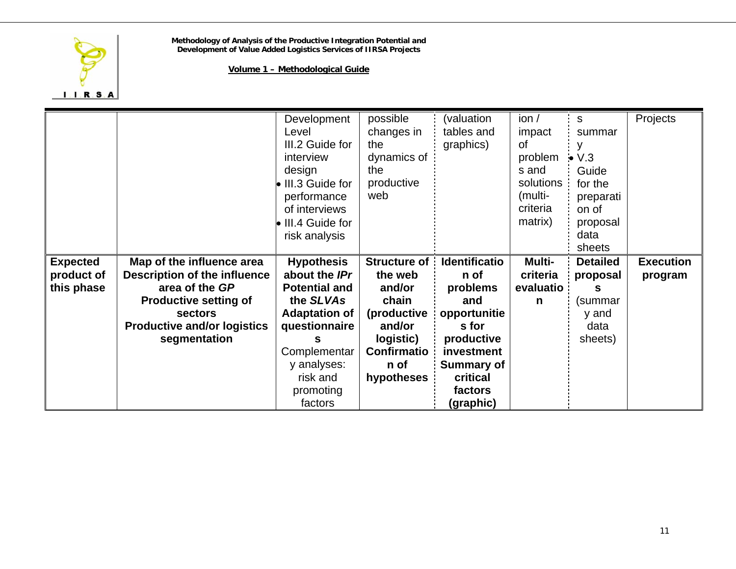

|                 |                                                | Development<br>Level<br>III.2 Guide for<br>interview<br>design<br>III.3 Guide for<br>performance<br>of interviews<br>III.4 Guide for<br>risk analysis | possible<br>changes in<br>the<br>dynamics of<br>the<br>productive<br>web | (valuation<br>tables and<br>graphics) | ion/<br>impact<br>of<br>problem<br>s and<br>solutions<br>(multi-<br>criteria<br>matrix) | S.<br>summar<br>V.3<br>Guide<br>for the<br>preparati<br>on of<br>proposal<br>data<br>sheets | Projects         |
|-----------------|------------------------------------------------|-------------------------------------------------------------------------------------------------------------------------------------------------------|--------------------------------------------------------------------------|---------------------------------------|-----------------------------------------------------------------------------------------|---------------------------------------------------------------------------------------------|------------------|
| <b>Expected</b> | Map of the influence area                      | <b>Hypothesis</b>                                                                                                                                     | <b>Structure of</b>                                                      | <b>Identificatio</b>                  | Multi-                                                                                  | <b>Detailed</b>                                                                             | <b>Execution</b> |
| product of      | <b>Description of the influence</b>            | about the IPr                                                                                                                                         | the web                                                                  | n of                                  | criteria                                                                                | proposal                                                                                    | program          |
| this phase      | area of the GP<br><b>Productive setting of</b> | <b>Potential and</b><br>the SLVAs                                                                                                                     | and/or<br>chain                                                          | problems<br>and                       | evaluatio<br>n                                                                          | (summar                                                                                     |                  |
|                 | <b>sectors</b>                                 | <b>Adaptation of</b>                                                                                                                                  | (productive                                                              | opportunitie                          |                                                                                         | y and                                                                                       |                  |
|                 | <b>Productive and/or logistics</b>             | questionnaire                                                                                                                                         | and/or                                                                   | s for                                 |                                                                                         | data                                                                                        |                  |
|                 | segmentation                                   | s                                                                                                                                                     | logistic)                                                                | productive                            |                                                                                         | sheets)                                                                                     |                  |
|                 |                                                | Complementar                                                                                                                                          | <b>Confirmatio</b>                                                       | investment                            |                                                                                         |                                                                                             |                  |
|                 |                                                | y analyses:                                                                                                                                           | n of                                                                     | <b>Summary of</b>                     |                                                                                         |                                                                                             |                  |
|                 |                                                | risk and                                                                                                                                              | hypotheses                                                               | critical                              |                                                                                         |                                                                                             |                  |
|                 |                                                | promoting                                                                                                                                             |                                                                          | factors                               |                                                                                         |                                                                                             |                  |
|                 |                                                | factors                                                                                                                                               |                                                                          | (graphic)                             |                                                                                         |                                                                                             |                  |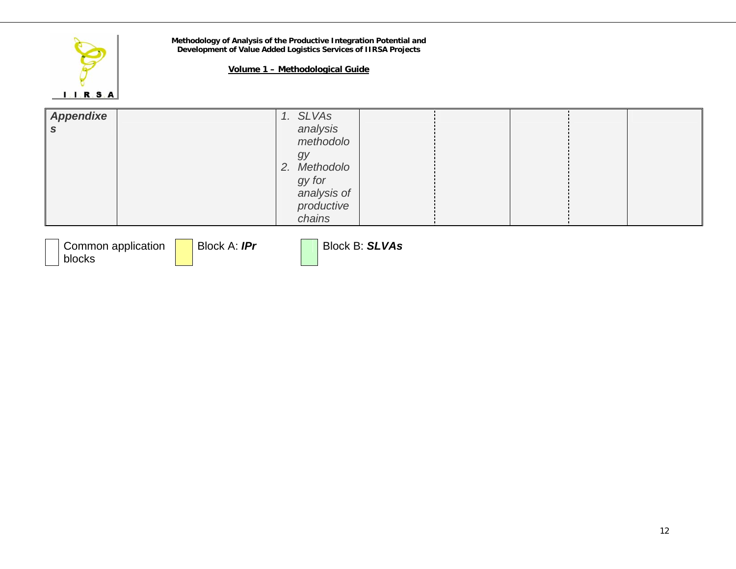

blocks

**Methodology of Analysis of the Productive Integration Potential and Development of Value Added Logistics Services of IIRSA Projects**

| Appendixe<br>- S                   | 1. SLVAs<br>analysis  |  |
|------------------------------------|-----------------------|--|
|                                    | methodolo             |  |
|                                    | gy<br>2. Methodolo    |  |
|                                    | gy for<br>analysis of |  |
|                                    | productive<br>chains  |  |
| Block A: IPr<br>Common application | Block B: SLVAs        |  |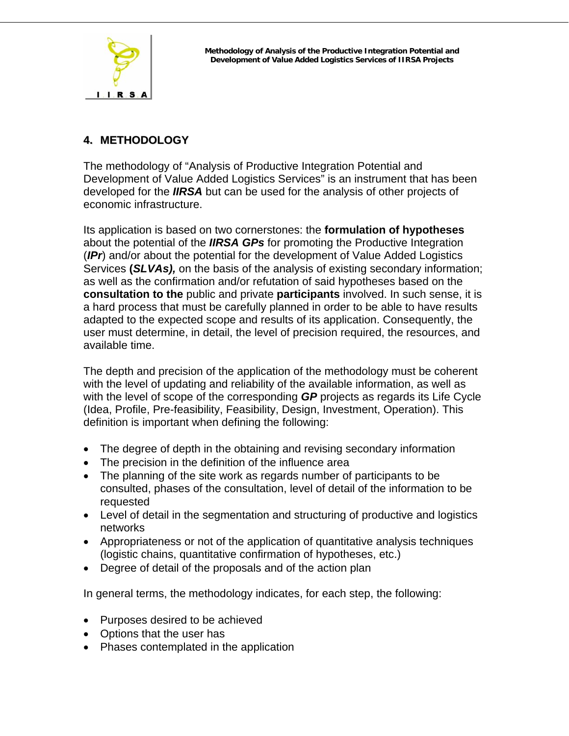<span id="page-12-0"></span>

# **4. METHODOLOGY**

The methodology of "Analysis of Productive Integration Potential and Development of Value Added Logistics Services" is an instrument that has been developed for the *IIRSA* but can be used for the analysis of other projects of economic infrastructure.

Its application is based on two cornerstones: the **formulation of hypotheses**  about the potential of the *IIRSA GPs* for promoting the Productive Integration (*IPr*) and/or about the potential for the development of Value Added Logistics Services **(***SLVAs),* on the basis of the analysis of existing secondary information; as well as the confirmation and/or refutation of said hypotheses based on the **consultation to the** public and private **participants** involved. In such sense, it is a hard process that must be carefully planned in order to be able to have results adapted to the expected scope and results of its application. Consequently, the user must determine, in detail, the level of precision required, the resources, and available time.

The depth and precision of the application of the methodology must be coherent with the level of updating and reliability of the available information, as well as with the level of scope of the corresponding *GP* projects as regards its Life Cycle (Idea, Profile, Pre-feasibility, Feasibility, Design, Investment, Operation). This definition is important when defining the following:

- The degree of depth in the obtaining and revising secondary information
- The precision in the definition of the influence area
- The planning of the site work as regards number of participants to be consulted, phases of the consultation, level of detail of the information to be requested
- Level of detail in the segmentation and structuring of productive and logistics networks
- Appropriateness or not of the application of quantitative analysis techniques (logistic chains, quantitative confirmation of hypotheses, etc.)
- Degree of detail of the proposals and of the action plan

In general terms, the methodology indicates, for each step, the following:

- Purposes desired to be achieved
- Options that the user has
- Phases contemplated in the application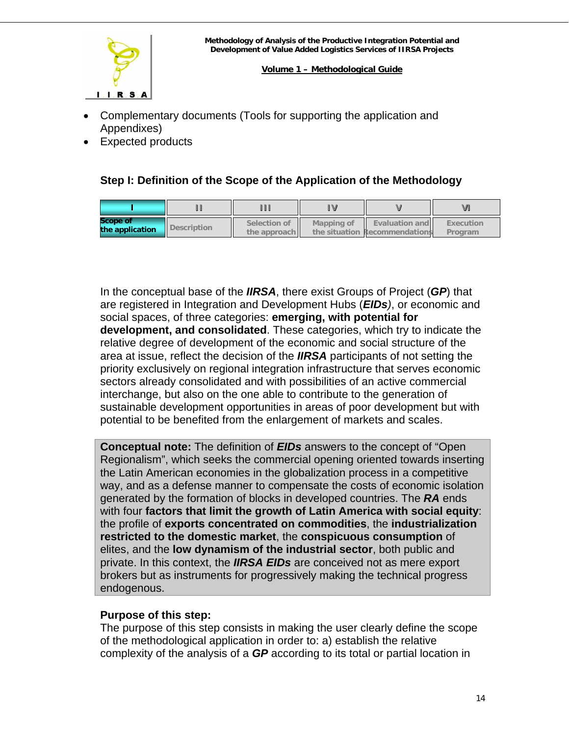<span id="page-13-0"></span>

- Complementary documents (Tools for supporting the application and Appendixes)
- Expected products

# **Step I: Definition of the Scope of the Application of the Methodology**

| <b>Scope of</b><br>the application | Description | Selection of<br>the approach II | Mapping of | <b>Evaluation and</b><br>the situation Recommendations | Execution<br>Program |
|------------------------------------|-------------|---------------------------------|------------|--------------------------------------------------------|----------------------|

In the conceptual base of the *IIRSA*, there exist Groups of Project (*GP*) that are registered in Integration and Development Hubs (*EIDs)*, or economic and social spaces, of three categories: **emerging, with potential for development, and consolidated**. These categories, which try to indicate the relative degree of development of the economic and social structure of the area at issue, reflect the decision of the *IIRSA* participants of not setting the priority exclusively on regional integration infrastructure that serves economic sectors already consolidated and with possibilities of an active commercial interchange, but also on the one able to contribute to the generation of sustainable development opportunities in areas of poor development but with potential to be benefited from the enlargement of markets and scales.

**Conceptual note:** The definition of *EIDs* answers to the concept of "Open Regionalism", which seeks the commercial opening oriented towards inserting the Latin American economies in the globalization process in a competitive way, and as a defense manner to compensate the costs of economic isolation generated by the formation of blocks in developed countries. The *RA* ends with four **factors that limit the growth of Latin America with social equity**: the profile of **exports concentrated on commodities**, the **industrialization restricted to the domestic market**, the **conspicuous consumption** of elites, and the **low dynamism of the industrial sector**, both public and private. In this context, the *IIRSA EIDs* are conceived not as mere export brokers but as instruments for progressively making the technical progress endogenous.

# **Purpose of this step:**

The purpose of this step consists in making the user clearly define the scope of the methodological application in order to: a) establish the relative complexity of the analysis of a *GP* according to its total or partial location in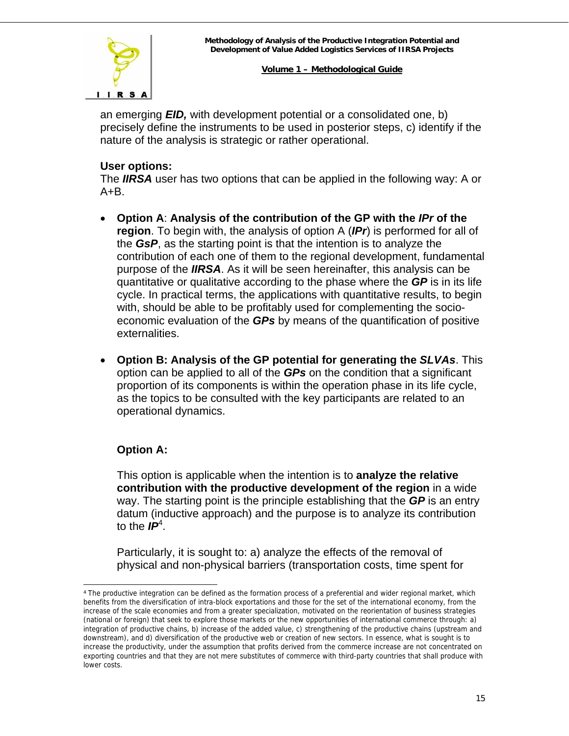

an emerging *EID,* with development potential or a consolidated one, b) precisely define the instruments to be used in posterior steps, c) identify if the nature of the analysis is strategic or rather operational.

# **User options:**

The *IIRSA* user has two options that can be applied in the following way: A or  $A + B$ .

- **Option A**: **Analysis of the contribution of the GP with the** *IPr* **of the region**. To begin with, the analysis of option A (*IPr*) is performed for all of the *GsP*, as the starting point is that the intention is to analyze the contribution of each one of them to the regional development, fundamental purpose of the *IIRSA*. As it will be seen hereinafter, this analysis can be quantitative or qualitative according to the phase where the *GP* is in its life cycle. In practical terms, the applications with quantitative results, to begin with, should be able to be profitably used for complementing the socioeconomic evaluation of the *GPs* by means of the quantification of positive externalities.
- **Option B: Analysis of the GP potential for generating the** *SLVAs*. This option can be applied to all of the *GPs* on the condition that a significant proportion of its components is within the operation phase in its life cycle, as the topics to be consulted with the key participants are related to an operational dynamics.

# **Option A:**

l

This option is applicable when the intention is to **analyze the relative contribution with the productive development of the region** in a wide way. The starting point is the principle establishing that the *GP* is an entry datum (inductive approach) and the purpose is to analyze its contribution to the *IP*<sup>4</sup> [.](#page-14-0)

Particularly, it is sought to: a) analyze the effects of the removal of physical and non-physical barriers (transportation costs, time spent for

<span id="page-14-0"></span><sup>4</sup> The productive integration can be defined as the formation process of a preferential and wider regional market, which benefits from the diversification of intra-block exportations and those for the set of the international economy, from the increase of the scale economies and from a greater specialization, motivated on the reorientation of business strategies (national or foreign) that seek to explore those markets or the new opportunities of international commerce through: a) integration of productive chains, b) increase of the added value, c) strengthening of the productive chains (upstream and downstream), and d) diversification of the productive web or creation of new sectors. In essence, what is sought is to increase the productivity, under the assumption that profits derived from the commerce increase are not concentrated on exporting countries and that they are not mere substitutes of commerce with third-party countries that shall produce with lower costs.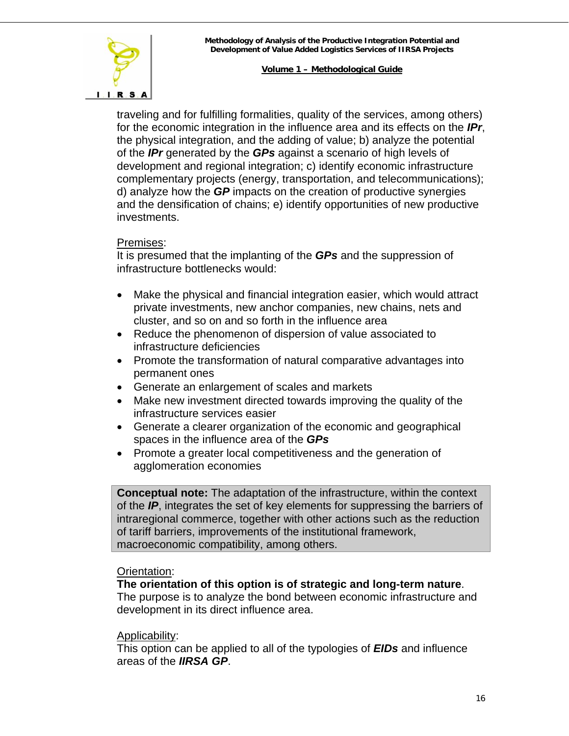

traveling and for fulfilling formalities, quality of the services, among others) for the economic integration in the influence area and its effects on the *IPr*, the physical integration, and the adding of value; b) analyze the potential of the *IPr* generated by the *GPs* against a scenario of high levels of development and regional integration; c) identify economic infrastructure complementary projects (energy, transportation, and telecommunications); d) analyze how the *GP* impacts on the creation of productive synergies and the densification of chains; e) identify opportunities of new productive investments.

#### Premises:

It is presumed that the implanting of the *GPs* and the suppression of infrastructure bottlenecks would:

- Make the physical and financial integration easier, which would attract private investments, new anchor companies, new chains, nets and cluster, and so on and so forth in the influence area
- Reduce the phenomenon of dispersion of value associated to infrastructure deficiencies
- Promote the transformation of natural comparative advantages into permanent ones
- Generate an enlargement of scales and markets
- Make new investment directed towards improving the quality of the infrastructure services easier
- Generate a clearer organization of the economic and geographical spaces in the influence area of the *GPs*
- Promote a greater local competitiveness and the generation of agglomeration economies

**Conceptual note:** The adaptation of the infrastructure, within the context of the *IP*, integrates the set of key elements for suppressing the barriers of intraregional commerce, together with other actions such as the reduction of tariff barriers, improvements of the institutional framework, macroeconomic compatibility, among others.

#### Orientation:

#### **The orientation of this option is of strategic and long-term nature**.

The purpose is to analyze the bond between economic infrastructure and development in its direct influence area.

#### Applicability:

This option can be applied to all of the typologies of *EIDs* and influence areas of the *IIRSA GP*.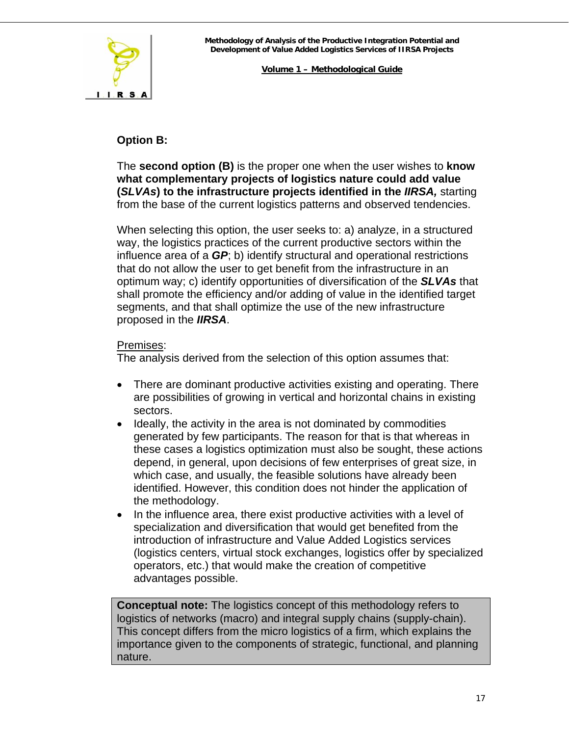

# **Option B:**

The **second option (B)** is the proper one when the user wishes to **know what complementary projects of logistics nature could add value (***SLVAs***) to the infrastructure projects identified in the** *IIRSA,* starting from the base of the current logistics patterns and observed tendencies.

When selecting this option, the user seeks to: a) analyze, in a structured way, the logistics practices of the current productive sectors within the influence area of a *GP*; b) identify structural and operational restrictions that do not allow the user to get benefit from the infrastructure in an optimum way; c) identify opportunities of diversification of the *SLVAs* that shall promote the efficiency and/or adding of value in the identified target segments, and that shall optimize the use of the new infrastructure proposed in the *IIRSA*.

# Premises:

The analysis derived from the selection of this option assumes that:

- There are dominant productive activities existing and operating. There are possibilities of growing in vertical and horizontal chains in existing sectors.
- Ideally, the activity in the area is not dominated by commodities generated by few participants. The reason for that is that whereas in these cases a logistics optimization must also be sought, these actions depend, in general, upon decisions of few enterprises of great size, in which case, and usually, the feasible solutions have already been identified. However, this condition does not hinder the application of the methodology.
- In the influence area, there exist productive activities with a level of specialization and diversification that would get benefited from the introduction of infrastructure and Value Added Logistics services (logistics centers, virtual stock exchanges, logistics offer by specialized operators, etc.) that would make the creation of competitive advantages possible.

**Conceptual note:** The logistics concept of this methodology refers to logistics of networks (macro) and integral supply chains (supply-chain). This concept differs from the micro logistics of a firm, which explains the importance given to the components of strategic, functional, and planning nature.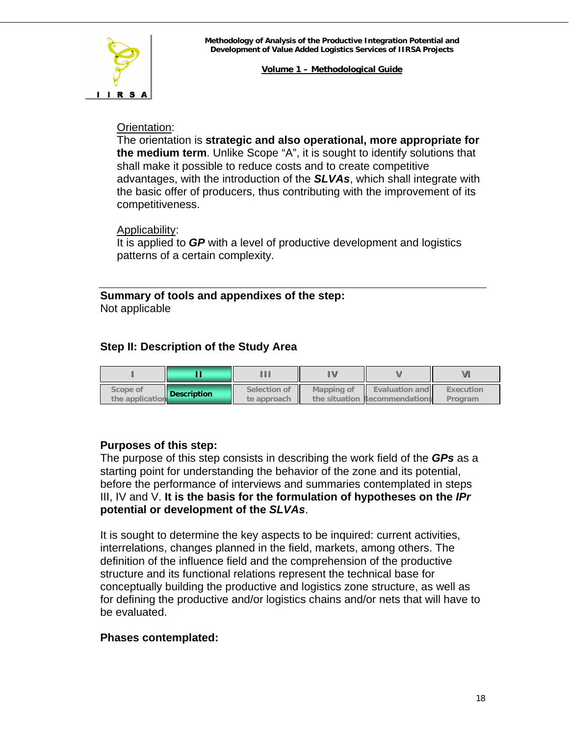<span id="page-17-0"></span>

#### Orientation:

The orientation is **strategic and also operational, more appropriate for the medium term**. Unlike Scope "A", it is sought to identify solutions that shall make it possible to reduce costs and to create competitive advantages, with the introduction of the *SLVAs*, which shall integrate with the basic offer of producers, thus contributing with the improvement of its competitiveness.

#### Applicability:

It is applied to *GP* with a level of productive development and logistics patterns of a certain complexity.

**Summary of tools and appendixes of the step:**  Not applicable

# **Step II: Description of the Study Area**

| Scope of<br>the application | <b>Description</b> | Selection of<br>te approach | Mapping of | <b>Evaluation and</b><br>the situation Recommendations | Execution<br>Program |
|-----------------------------|--------------------|-----------------------------|------------|--------------------------------------------------------|----------------------|

# **Purposes of this step:**

The purpose of this step consists in describing the work field of the *GPs* as a starting point for understanding the behavior of the zone and its potential, before the performance of interviews and summaries contemplated in steps III, IV and V. **It is the basis for the formulation of hypotheses on the** *IPr* **potential or development of the** *SLVAs*.

It is sought to determine the key aspects to be inquired: current activities, interrelations, changes planned in the field, markets, among others. The definition of the influence field and the comprehension of the productive structure and its functional relations represent the technical base for conceptually building the productive and logistics zone structure, as well as for defining the productive and/or logistics chains and/or nets that will have to be evaluated.

# **Phases contemplated:**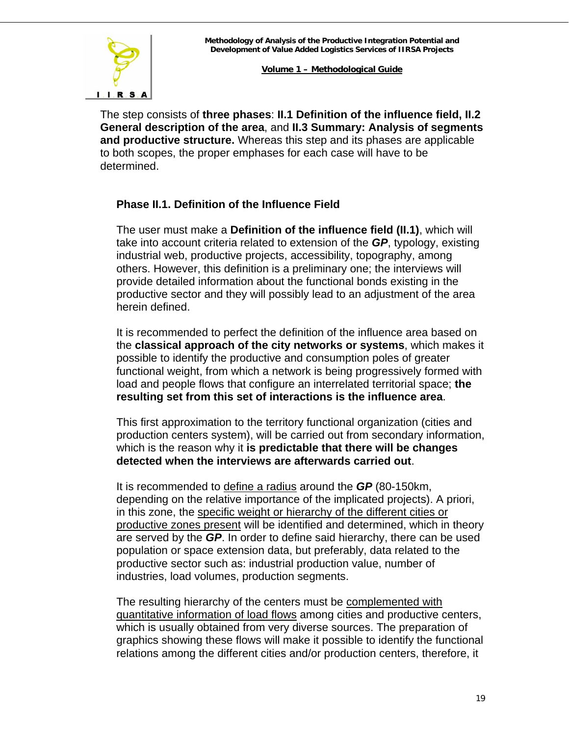

The step consists of **three phases**: **II.1 Definition of the influence field, II.2 General description of the area**, and **II.3 Summary: Analysis of segments and productive structure.** Whereas this step and its phases are applicable to both scopes, the proper emphases for each case will have to be determined.

# **Phase II.1. Definition of the Influence Field**

The user must make a **Definition of the influence field (II.1)**, which will take into account criteria related to extension of the *GP*, typology, existing industrial web, productive projects, accessibility, topography, among others. However, this definition is a preliminary one; the interviews will provide detailed information about the functional bonds existing in the productive sector and they will possibly lead to an adjustment of the area herein defined.

It is recommended to perfect the definition of the influence area based on the **classical approach of the city networks or systems**, which makes it possible to identify the productive and consumption poles of greater functional weight, from which a network is being progressively formed with load and people flows that configure an interrelated territorial space; **the resulting set from this set of interactions is the influence area**.

This first approximation to the territory functional organization (cities and production centers system), will be carried out from secondary information, which is the reason why it **is predictable that there will be changes detected when the interviews are afterwards carried out**.

It is recommended to define a radius around the *GP* (80-150km, depending on the relative importance of the implicated projects). A priori, in this zone, the specific weight or hierarchy of the different cities or productive zones present will be identified and determined, which in theory are served by the *GP*. In order to define said hierarchy, there can be used population or space extension data, but preferably, data related to the productive sector such as: industrial production value, number of industries, load volumes, production segments.

The resulting hierarchy of the centers must be complemented with quantitative information of load flows among cities and productive centers, which is usually obtained from very diverse sources. The preparation of graphics showing these flows will make it possible to identify the functional relations among the different cities and/or production centers, therefore, it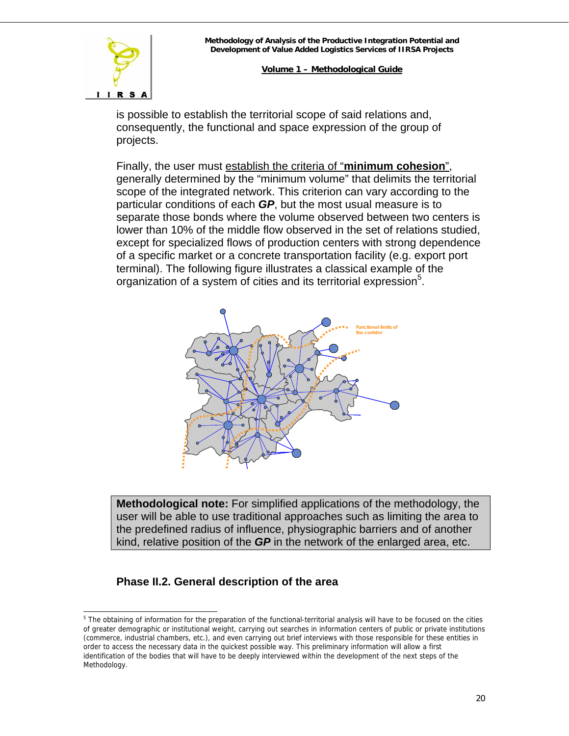# $I. I. R. S. A$

**Volume 1 – Methodological Guide**

is possible to establish the territorial scope of said relations and, consequently, the functional and space expression of the group of projects.

Finally, the user must establish the criteria of "**minimum cohesion**", generally determined by the "minimum volume" that delimits the territorial scope of the integrated network. This criterion can vary according to the particular conditions of each *GP*, but the most usual measure is to separate those bonds where the volume observed between two centers is lower than 10% of the middle flow observed in the set of relations studied, except for specialized flows of production centers with strong dependence of a specific market or a concrete transportation facility (e.g. export port terminal). The following figure illustrates a classical example of the organization of a system of cities and its territorial expression<sup>[5](#page-19-0)</sup>.



**Methodological note:** For simplified applications of the methodology, the user will be able to use traditional approaches such as limiting the area to the predefined radius of influence, physiographic barriers and of another kind, relative position of the *GP* in the network of the enlarged area, etc.

# **Phase II.2. General description of the area**

<span id="page-19-0"></span>l <sup>5</sup> The obtaining of information for the preparation of the functional-territorial analysis will have to be focused on the cities of greater demographic or institutional weight, carrying out searches in information centers of public or private institutions (commerce, industrial chambers, etc.), and even carrying out brief interviews with those responsible for these entities in order to access the necessary data in the quickest possible way. This preliminary information will allow a first identification of the bodies that will have to be deeply interviewed within the development of the next steps of the Methodology.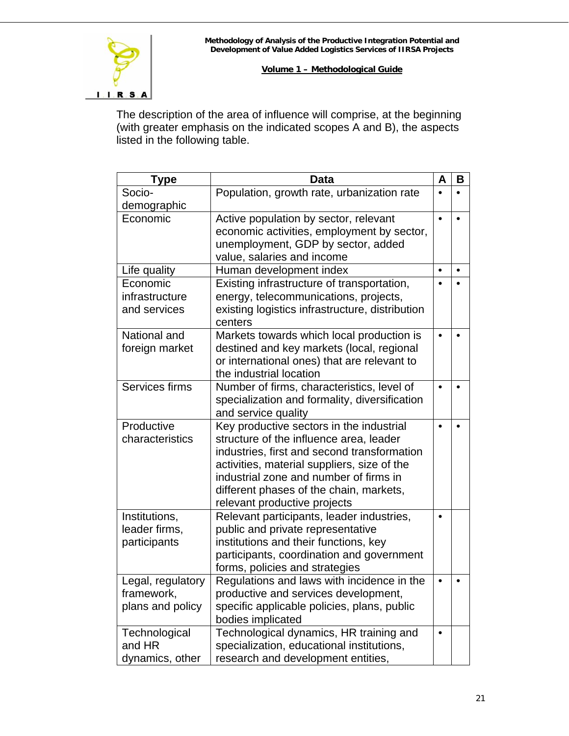

The description of the area of influence will comprise, at the beginning (with greater emphasis on the indicated scopes A and B), the aspects listed in the following table.

| Type              | <b>Data</b>                                                             | A         | в |
|-------------------|-------------------------------------------------------------------------|-----------|---|
| Socio-            | Population, growth rate, urbanization rate                              |           |   |
| demographic       |                                                                         |           |   |
| Economic          | Active population by sector, relevant                                   |           |   |
|                   | economic activities, employment by sector,                              |           |   |
|                   | unemployment, GDP by sector, added                                      |           |   |
|                   | value, salaries and income                                              |           |   |
| Life quality      | Human development index                                                 | $\bullet$ |   |
| Economic          | Existing infrastructure of transportation,                              |           |   |
| infrastructure    | energy, telecommunications, projects,                                   |           |   |
| and services      | existing logistics infrastructure, distribution<br>centers              |           |   |
| National and      | Markets towards which local production is                               | $\bullet$ |   |
| foreign market    | destined and key markets (local, regional                               |           |   |
|                   | or international ones) that are relevant to                             |           |   |
|                   | the industrial location                                                 |           |   |
| Services firms    | Number of firms, characteristics, level of                              |           |   |
|                   | specialization and formality, diversification                           |           |   |
|                   | and service quality                                                     |           |   |
| Productive        | Key productive sectors in the industrial                                |           |   |
| characteristics   | structure of the influence area, leader                                 |           |   |
|                   | industries, first and second transformation                             |           |   |
|                   | activities, material suppliers, size of the                             |           |   |
|                   | industrial zone and number of firms in                                  |           |   |
|                   | different phases of the chain, markets,<br>relevant productive projects |           |   |
| Institutions,     | Relevant participants, leader industries,                               |           |   |
| leader firms,     | public and private representative                                       |           |   |
| participants      | institutions and their functions, key                                   |           |   |
|                   | participants, coordination and government                               |           |   |
|                   | forms, policies and strategies                                          |           |   |
| Legal, regulatory | Regulations and laws with incidence in the                              |           |   |
| framework,        | productive and services development,                                    |           |   |
| plans and policy  | specific applicable policies, plans, public                             |           |   |
|                   | bodies implicated                                                       |           |   |
| Technological     | Technological dynamics, HR training and                                 | ٠         |   |
| and HR            | specialization, educational institutions,                               |           |   |
| dynamics, other   | research and development entities,                                      |           |   |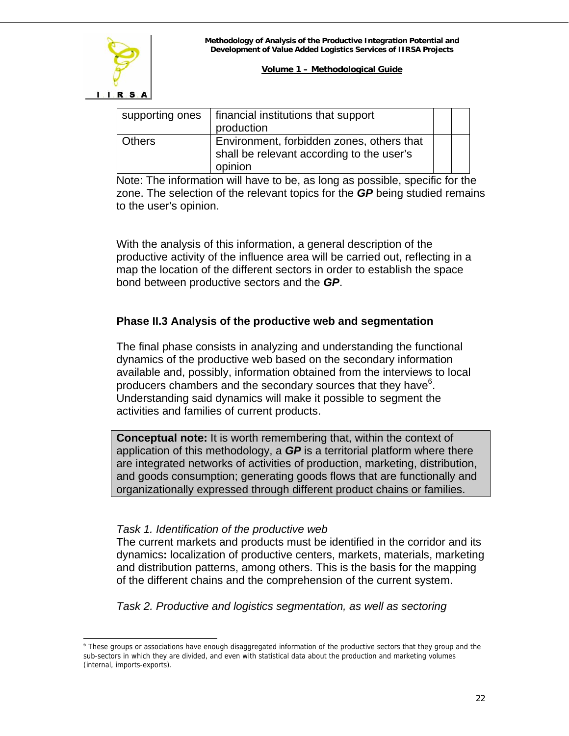|               | supporting ones   financial institutions that support<br>production                               |  |
|---------------|---------------------------------------------------------------------------------------------------|--|
| <b>Others</b> | Environment, forbidden zones, others that<br>shall be relevant according to the user's<br>opinion |  |

Note: The information will have to be, as long as possible, specific for the zone. The selection of the relevant topics for the *GP* being studied remains to the user's opinion.

With the analysis of this information, a general description of the productive activity of the influence area will be carried out, reflecting in a map the location of the different sectors in order to establish the space bond between productive sectors and the *GP*.

# **Phase II.3 Analysis of the productive web and segmentation**

The final phase consists in analyzing and understanding the functional dynamics of the productive web based on the secondary information available and, possibly, information obtained from the interviews to local producers chambers and the secondary sources that they have<sup>[6](#page-21-0)</sup>. Understanding said dynamics will make it possible to segment the activities and families of current products.

**Conceptual note:** It is worth remembering that, within the context of application of this methodology, a *GP* is a territorial platform where there are integrated networks of activities of production, marketing, distribution, and goods consumption; generating goods flows that are functionally and organizationally expressed through different product chains or families.

# *Task 1. Identification of the productive web*

The current markets and products must be identified in the corridor and its dynamics**:** localization of productive centers, markets, materials, marketing and distribution patterns, among others. This is the basis for the mapping of the different chains and the comprehension of the current system.

*Task 2. Productive and logistics segmentation, as well as sectoring* 

<span id="page-21-0"></span>l <sup>6</sup> These groups or associations have enough disaggregated information of the productive sectors that they group and the sub-sectors in which they are divided, and even with statistical data about the production and marketing volumes (internal, imports-exports).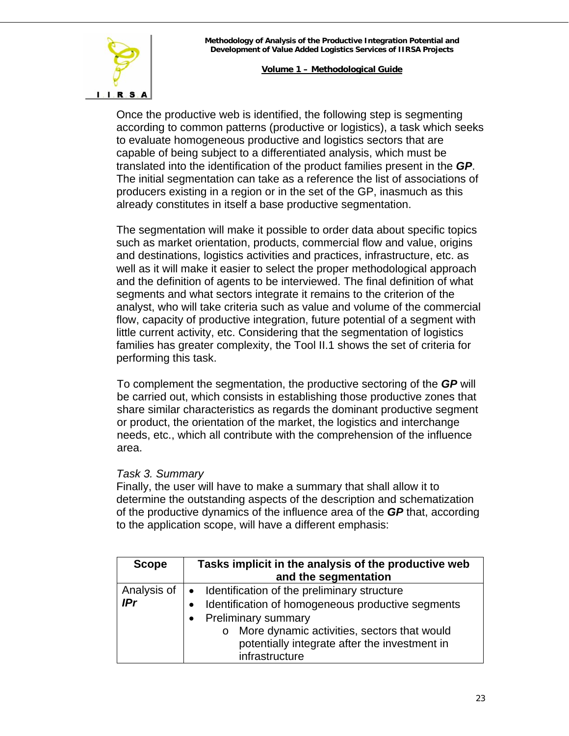

Once the productive web is identified, the following step is segmenting according to common patterns (productive or logistics), a task which seeks to evaluate homogeneous productive and logistics sectors that are capable of being subject to a differentiated analysis, which must be translated into the identification of the product families present in the *GP*. The initial segmentation can take as a reference the list of associations of producers existing in a region or in the set of the GP, inasmuch as this already constitutes in itself a base productive segmentation.

The segmentation will make it possible to order data about specific topics such as market orientation, products, commercial flow and value, origins and destinations, logistics activities and practices, infrastructure, etc. as well as it will make it easier to select the proper methodological approach and the definition of agents to be interviewed. The final definition of what segments and what sectors integrate it remains to the criterion of the analyst, who will take criteria such as value and volume of the commercial flow, capacity of productive integration, future potential of a segment with little current activity, etc. Considering that the segmentation of logistics families has greater complexity, the Tool II.1 shows the set of criteria for performing this task.

To complement the segmentation, the productive sectoring of the *GP* will be carried out, which consists in establishing those productive zones that share similar characteristics as regards the dominant productive segment or product, the orientation of the market, the logistics and interchange needs, etc., which all contribute with the comprehension of the influence area.

#### *Task 3. Summary*

Finally, the user will have to make a summary that shall allow it to determine the outstanding aspects of the description and schematization of the productive dynamics of the influence area of the *GP* that, according to the application scope, will have a different emphasis:

| <b>Scope</b> | Tasks implicit in the analysis of the productive web           |  |
|--------------|----------------------------------------------------------------|--|
|              | and the segmentation                                           |  |
| Analysis of  | • Identification of the preliminary structure                  |  |
| <b>IPr</b>   | Identification of homogeneous productive segments<br>$\bullet$ |  |
|              | <b>Preliminary summary</b><br>$\bullet$                        |  |
|              | More dynamic activities, sectors that would<br>$\circ$         |  |
|              | potentially integrate after the investment in                  |  |
|              | infrastructure                                                 |  |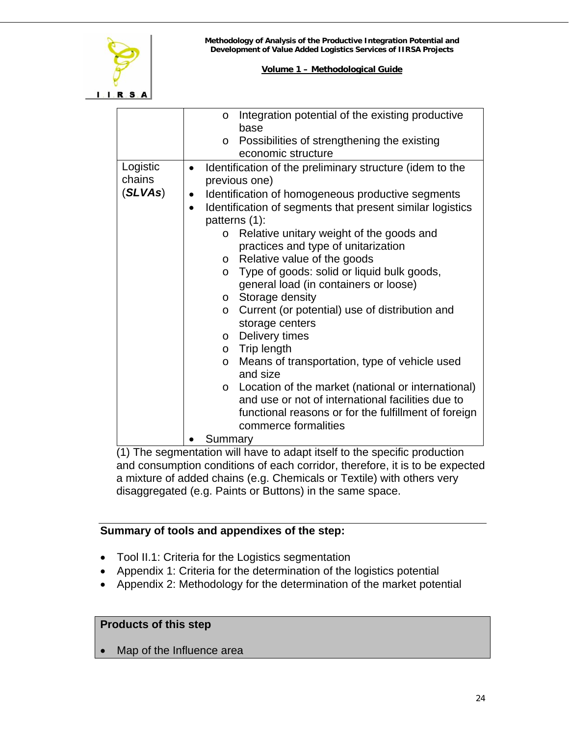

|                               | Integration potential of the existing productive<br>$\circ$<br>base                                                                                                                                                                                                |
|-------------------------------|--------------------------------------------------------------------------------------------------------------------------------------------------------------------------------------------------------------------------------------------------------------------|
|                               | Possibilities of strengthening the existing<br>$\circ$                                                                                                                                                                                                             |
|                               | economic structure                                                                                                                                                                                                                                                 |
| Logistic<br>chains<br>(SLVAs) | Identification of the preliminary structure (idem to the<br>$\bullet$<br>previous one)<br>Identification of homogeneous productive segments<br>$\bullet$                                                                                                           |
|                               | Identification of segments that present similar logistics<br>patterns (1):                                                                                                                                                                                         |
|                               | Relative unitary weight of the goods and<br>$\circ$<br>practices and type of unitarization                                                                                                                                                                         |
|                               | Relative value of the goods<br>$\circ$                                                                                                                                                                                                                             |
|                               | Type of goods: solid or liquid bulk goods,<br>$\circ$                                                                                                                                                                                                              |
|                               | general load (in containers or loose)                                                                                                                                                                                                                              |
|                               | Storage density<br>$\circ$                                                                                                                                                                                                                                         |
|                               | Current (or potential) use of distribution and<br>$\circ$<br>storage centers                                                                                                                                                                                       |
|                               | Delivery times<br>$\circ$                                                                                                                                                                                                                                          |
|                               | $\circ$ Trip length                                                                                                                                                                                                                                                |
|                               | Means of transportation, type of vehicle used<br>$\circ$<br>and size                                                                                                                                                                                               |
|                               | o Location of the market (national or international)<br>and use or not of international facilities due to                                                                                                                                                          |
|                               | functional reasons or for the fulfillment of foreign                                                                                                                                                                                                               |
|                               | commerce formalities                                                                                                                                                                                                                                               |
|                               | Summary<br>$\mathbf{a}$ and $\mathbf{a}$ are associated to the set of the set of the set of the set of the set of the set of the set of the set of the set of the set of the set of the set of the set of the set of the set of the set of the s<br>$\ddotsc$<br>. |

(1) The segmentation will have to adapt itself to the specific production and consumption conditions of each corridor, therefore, it is to be expected a mixture of added chains (e.g. Chemicals or Textile) with others very disaggregated (e.g. Paints or Buttons) in the same space.

# **Summary of tools and appendixes of the step:**

- Tool II.1: Criteria for the Logistics segmentation
- Appendix 1: Criteria for the determination of the logistics potential
- Appendix 2: Methodology for the determination of the market potential

# **Products of this step**

Map of the Influence area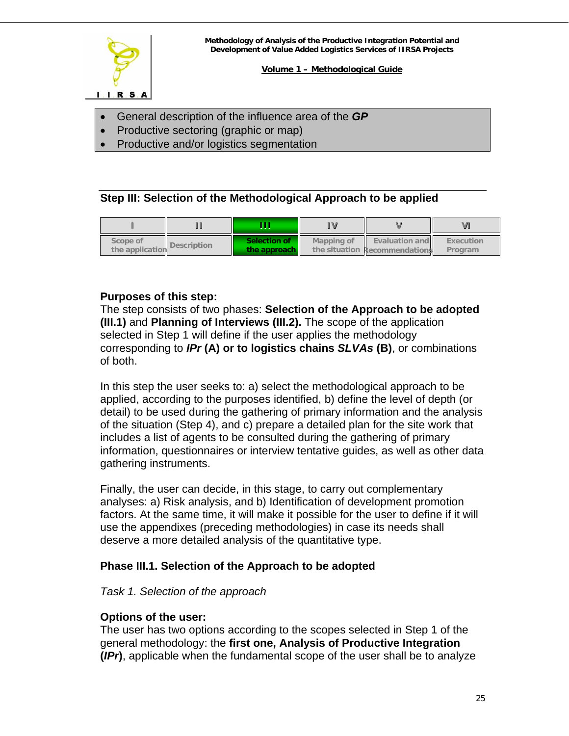<span id="page-24-0"></span>

- General description of the influence area of the *GP*
- Productive sectoring (graphic or map)
- Productive and/or logistics segmentation

# **Step III: Selection of the Methodological Approach to be applied**

| Scope of<br>the application | Description | Selection of<br>the approach | Mapping of | <b>Evaluation and</b><br>the situation Recommendations | Execution<br>Program |
|-----------------------------|-------------|------------------------------|------------|--------------------------------------------------------|----------------------|

#### **Purposes of this step:**

The step consists of two phases: **Selection of the Approach to be adopted (III.1)** and **Planning of Interviews (III.2).** The scope of the application selected in Step 1 will define if the user applies the methodology corresponding to *IPr* **(A) or to logistics chains** *SLVAs* **(B)**, or combinations of both.

In this step the user seeks to: a) select the methodological approach to be applied, according to the purposes identified, b) define the level of depth (or detail) to be used during the gathering of primary information and the analysis of the situation (Step 4), and c) prepare a detailed plan for the site work that includes a list of agents to be consulted during the gathering of primary information, questionnaires or interview tentative guides, as well as other data gathering instruments.

Finally, the user can decide, in this stage, to carry out complementary analyses: a) Risk analysis, and b) Identification of development promotion factors. At the same time, it will make it possible for the user to define if it will use the appendixes (preceding methodologies) in case its needs shall deserve a more detailed analysis of the quantitative type.

# **Phase III.1. Selection of the Approach to be adopted**

# *Task 1. Selection of the approach*

# **Options of the user:**

The user has two options according to the scopes selected in Step 1 of the general methodology: the **first one, Analysis of Productive Integration (***IPr***)**, applicable when the fundamental scope of the user shall be to analyze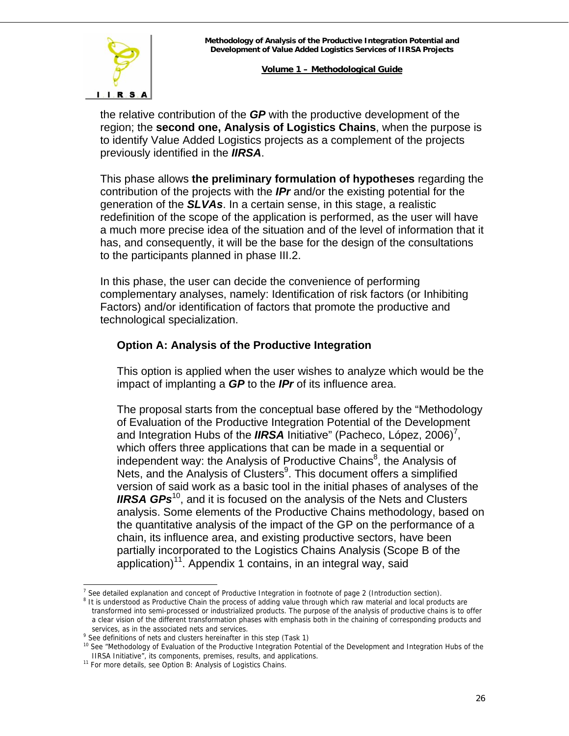

the relative contribution of the *GP* with the productive development of the region; the **second one, Analysis of Logistics Chains**, when the purpose is to identify Value Added Logistics projects as a complement of the projects previously identified in the *IIRSA*.

This phase allows **the preliminary formulation of hypotheses** regarding the contribution of the projects with the *IPr* and/or the existing potential for the generation of the *SLVAs*. In a certain sense, in this stage, a realistic redefinition of the scope of the application is performed, as the user will have a much more precise idea of the situation and of the level of information that it has, and consequently, it will be the base for the design of the consultations to the participants planned in phase III.2.

In this phase, the user can decide the convenience of performing complementary analyses, namely: Identification of risk factors (or Inhibiting Factors) and/or identification of factors that promote the productive and technological specialization.

# **Option A: Analysis of the Productive Integration**

This option is applied when the user wishes to analyze which would be the impact of implanting a *GP* to the *IPr* of its influence area.

The proposal starts from the conceptual base offered by the "Methodology of Evaluation of the Productive Integration Potential of the Development and Integration Hubs of the *IIRSA* Initiative" (Pacheco, López, 2006)<sup>7</sup>, which offers three applications that can be made in a sequential or independent way: the Analysis of Productive Chains<sup>[8](#page-25-1)</sup>, the Analysis of Nets, and the Analysis of Clusters<sup>9</sup>. This document offers a simplified version of said work as a basic tool in the initial phases of analyses of the **IIRSA GPs**<sup>10</sup>, and it is focused on the analysis of the Nets and Clusters analysis. Some elements of the Productive Chains methodology, based on the quantitative analysis of the impact of the GP on the performance of a chain, its influence area, and existing productive sectors, have been partially incorporated to the Logistics Chains Analysis (Scope B of the application)<sup>11</sup>. Appendix 1 contains, in an integral way, said

l

<span id="page-25-0"></span><sup>&</sup>lt;sup>7</sup> See detailed explanation and concept of Productive Integration in footnote of page 2 (Introduction section).<br><sup>8</sup> It is understood as Productive Chain the process of adding value through which raw material and local pr

<span id="page-25-1"></span> $8$  It is understood as Productive Chain the process of adding value through which raw material and local products are transformed into semi-processed or industrialized products. The purpose of the analysis of productive chains is to offer a clear vision of the different transformation phases with emphasis both in the chaining of corresponding products and services, as in the associated nets and services.

<span id="page-25-2"></span>services, as in the associated nets and services.<br><sup>9</sup> See definitions of nets and clusters hereinafter in this step (Task 1)

<span id="page-25-3"></span><sup>&</sup>lt;sup>10</sup> See "Methodology of Evaluation of the Productive Integration Potential of the Development and Integration Hubs of the IIRSA Initiative", its components, premises, results, and applications. 11 For more details, see Option B: Analysis of Logistics Chains.

<span id="page-25-4"></span>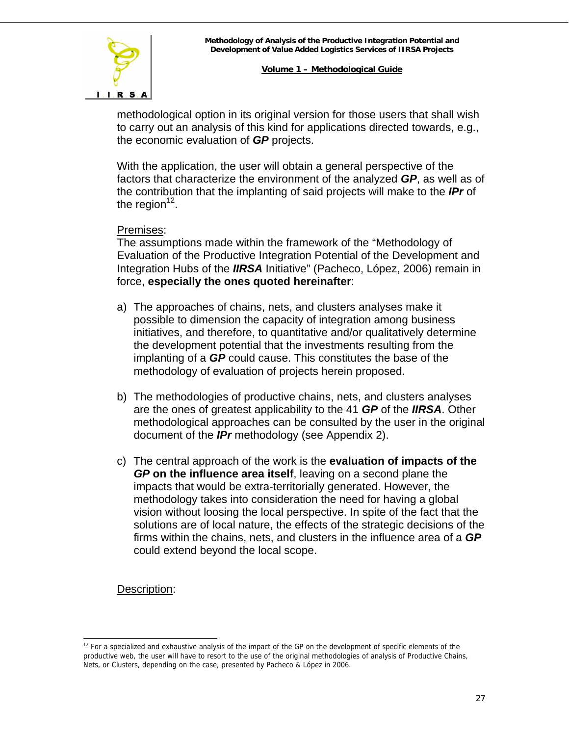# $I. I. R. S. A$

#### **Volume 1 – Methodological Guide**

methodological option in its original version for those users that shall wish to carry out an analysis of this kind for applications directed towards, e.g., the economic evaluation of *GP* projects.

With the application, the user will obtain a general perspective of the factors that characterize the environment of the analyzed *GP*, as well as of the contribution that the implanting of said projects will make to the *IPr* of the region $12$ .

# Premises:

The assumptions made within the framework of the "Methodology of Evaluation of the Productive Integration Potential of the Development and Integration Hubs of the *IIRSA* Initiative" (Pacheco, López, 2006) remain in force, **especially the ones quoted hereinafter**:

- a) The approaches of chains, nets, and clusters analyses make it possible to dimension the capacity of integration among business initiatives, and therefore, to quantitative and/or qualitatively determine the development potential that the investments resulting from the implanting of a *GP* could cause. This constitutes the base of the methodology of evaluation of projects herein proposed.
- b) The methodologies of productive chains, nets, and clusters analyses are the ones of greatest applicability to the 41 *GP* of the *IIRSA*. Other methodological approaches can be consulted by the user in the original document of the *IPr* methodology (see Appendix 2).
- c) The central approach of the work is the **evaluation of impacts of the**  *GP* **on the influence area itself**, leaving on a second plane the impacts that would be extra-territorially generated. However, the methodology takes into consideration the need for having a global vision without loosing the local perspective. In spite of the fact that the solutions are of local nature, the effects of the strategic decisions of the firms within the chains, nets, and clusters in the influence area of a *GP* could extend beyond the local scope.

# Description:

<span id="page-26-0"></span>l <sup>12</sup> For a specialized and exhaustive analysis of the impact of the GP on the development of specific elements of the productive web, the user will have to resort to the use of the original methodologies of analysis of Productive Chains, Nets, or Clusters, depending on the case, presented by Pacheco & López in 2006.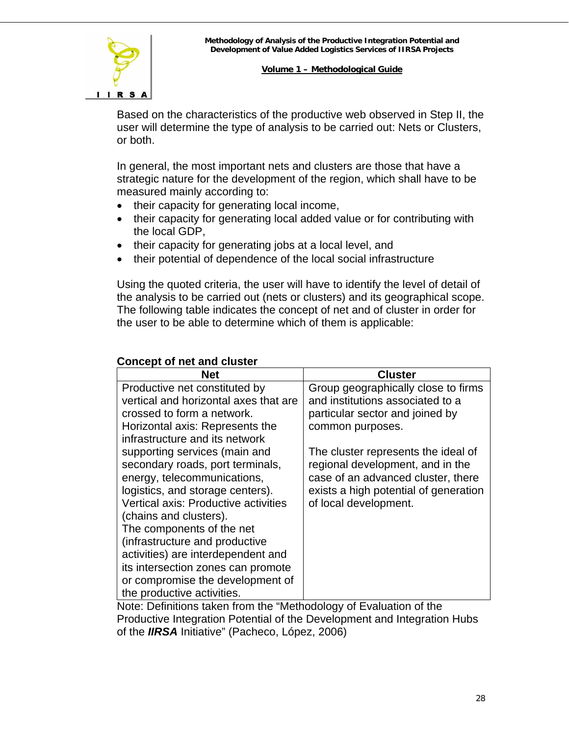

Based on the characteristics of the productive web observed in Step II, the user will determine the type of analysis to be carried out: Nets or Clusters, or both.

In general, the most important nets and clusters are those that have a strategic nature for the development of the region, which shall have to be measured mainly according to:

- their capacity for generating local income,
- their capacity for generating local added value or for contributing with the local GDP,
- their capacity for generating jobs at a local level, and
- their potential of dependence of the local social infrastructure

Using the quoted criteria, the user will have to identify the level of detail of the analysis to be carried out (nets or clusters) and its geographical scope. The following table indicates the concept of net and of cluster in order for the user to be able to determine which of them is applicable:

# **Concept of net and cluster**

| <b>Net</b>                            | <b>Cluster</b>                        |
|---------------------------------------|---------------------------------------|
| Productive net constituted by         | Group geographically close to firms   |
| vertical and horizontal axes that are | and institutions associated to a      |
| crossed to form a network.            | particular sector and joined by       |
| Horizontal axis: Represents the       | common purposes.                      |
| infrastructure and its network        |                                       |
| supporting services (main and         | The cluster represents the ideal of   |
| secondary roads, port terminals,      | regional development, and in the      |
| energy, telecommunications,           | case of an advanced cluster, there    |
| logistics, and storage centers).      | exists a high potential of generation |
| Vertical axis: Productive activities  | of local development.                 |
| (chains and clusters).                |                                       |
| The components of the net             |                                       |
| (infrastructure and productive        |                                       |
| activities) are interdependent and    |                                       |
| its intersection zones can promote    |                                       |
| or compromise the development of      |                                       |
| the productive activities.            |                                       |

Note: Definitions taken from the "Methodology of Evaluation of the Productive Integration Potential of the Development and Integration Hubs of the *IIRSA* Initiative" (Pacheco, López, 2006)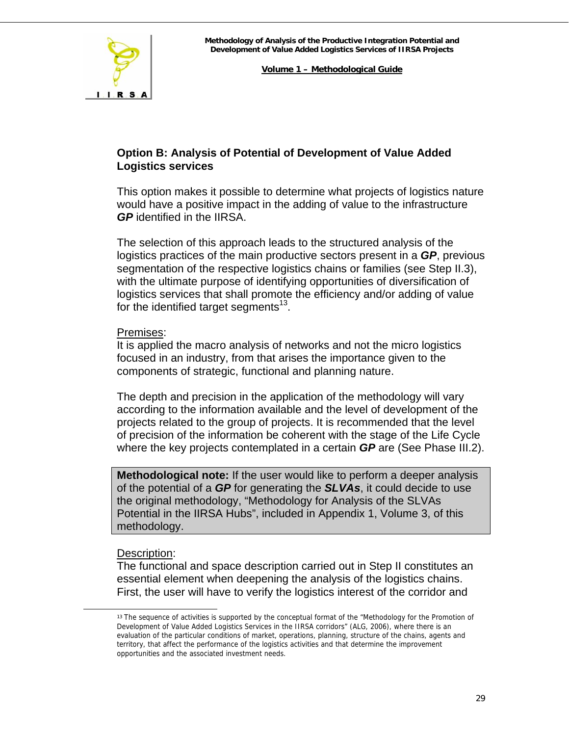

# **Option B: Analysis of Potential of Development of Value Added Logistics services**

This option makes it possible to determine what projects of logistics nature would have a positive impact in the adding of value to the infrastructure *GP* identified in the IIRSA.

The selection of this approach leads to the structured analysis of the logistics practices of the main productive sectors present in a *GP*, previous segmentation of the respective logistics chains or families (see Step II.3), with the ultimate purpose of identifying opportunities of diversification of logistics services that shall promote the efficiency and/or adding of value for the identified target segments<sup>13</sup>.

#### Premises:

It is applied the macro analysis of networks and not the micro logistics focused in an industry, from that arises the importance given to the components of strategic, functional and planning nature.

The depth and precision in the application of the methodology will vary according to the information available and the level of development of the projects related to the group of projects. It is recommended that the level of precision of the information be coherent with the stage of the Life Cycle where the key projects contemplated in a certain *GP* are (See Phase III.2).

**Methodological note:** If the user would like to perform a deeper analysis of the potential of a *GP* for generating the *SLVAs*, it could decide to use the original methodology, "Methodology for Analysis of the SLVAs Potential in the IIRSA Hubs", included in Appendix 1, Volume 3, of this methodology.

# Description:

The functional and space description carried out in Step II constitutes an essential element when deepening the analysis of the logistics chains. First, the user will have to verify the logistics interest of the corridor and

<span id="page-28-0"></span><sup>&</sup>lt;sup>13</sup> The sequence of activities is supported by the conceptual format of the "Methodology for the Promotion of Development of Value Added Logistics Services in the IIRSA corridors" (ALG, 2006), where there is an evaluation of the particular conditions of market, operations, planning, structure of the chains, agents and territory, that affect the performance of the logistics activities and that determine the improvement opportunities and the associated investment needs.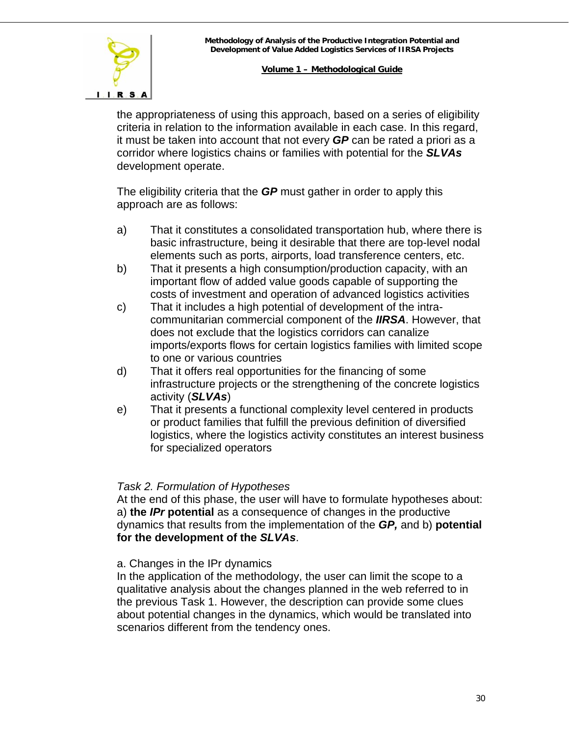

the appropriateness of using this approach, based on a series of eligibility criteria in relation to the information available in each case. In this regard, it must be taken into account that not every *GP* can be rated a priori as a corridor where logistics chains or families with potential for the *SLVAs* development operate.

The eligibility criteria that the *GP* must gather in order to apply this approach are as follows:

- a) That it constitutes a consolidated transportation hub, where there is basic infrastructure, being it desirable that there are top-level nodal elements such as ports, airports, load transference centers, etc.
- b) That it presents a high consumption/production capacity, with an important flow of added value goods capable of supporting the costs of investment and operation of advanced logistics activities
- c) That it includes a high potential of development of the intracommunitarian commercial component of the *IIRSA*. However, that does not exclude that the logistics corridors can canalize imports/exports flows for certain logistics families with limited scope to one or various countries
- d) That it offers real opportunities for the financing of some infrastructure projects or the strengthening of the concrete logistics activity (*SLVAs*)
- e) That it presents a functional complexity level centered in products or product families that fulfill the previous definition of diversified logistics, where the logistics activity constitutes an interest business for specialized operators

# *Task 2. Formulation of Hypotheses*

At the end of this phase, the user will have to formulate hypotheses about: a) **the** *IPr* **potential** as a consequence of changes in the productive dynamics that results from the implementation of the *GP,* and b) **potential for the development of the** *SLVAs*.

a. Changes in the IPr dynamics

In the application of the methodology, the user can limit the scope to a qualitative analysis about the changes planned in the web referred to in the previous Task 1. However, the description can provide some clues about potential changes in the dynamics, which would be translated into scenarios different from the tendency ones.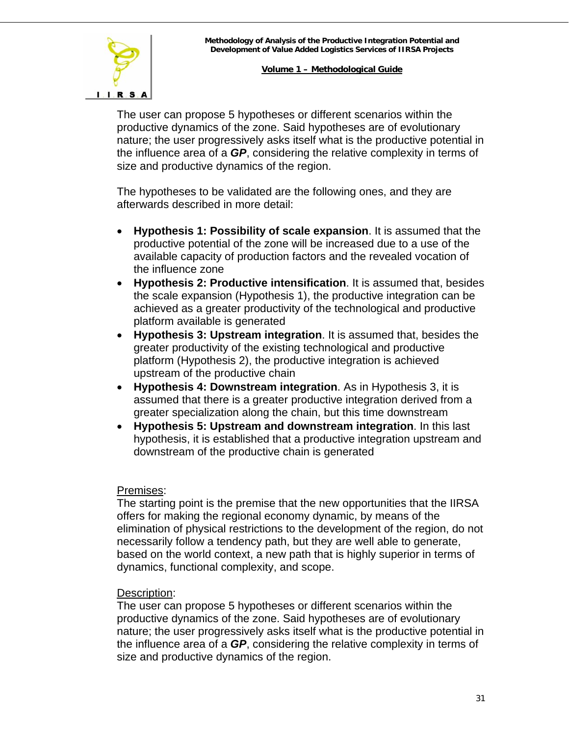

The user can propose 5 hypotheses or different scenarios within the productive dynamics of the zone. Said hypotheses are of evolutionary nature; the user progressively asks itself what is the productive potential in the influence area of a *GP*, considering the relative complexity in terms of size and productive dynamics of the region.

The hypotheses to be validated are the following ones, and they are afterwards described in more detail:

- **Hypothesis 1: Possibility of scale expansion**. It is assumed that the productive potential of the zone will be increased due to a use of the available capacity of production factors and the revealed vocation of the influence zone
- **Hypothesis 2: Productive intensification**. It is assumed that, besides the scale expansion (Hypothesis 1), the productive integration can be achieved as a greater productivity of the technological and productive platform available is generated
- **Hypothesis 3: Upstream integration**. It is assumed that, besides the greater productivity of the existing technological and productive platform (Hypothesis 2), the productive integration is achieved upstream of the productive chain
- **Hypothesis 4: Downstream integration**. As in Hypothesis 3, it is assumed that there is a greater productive integration derived from a greater specialization along the chain, but this time downstream
- **Hypothesis 5: Upstream and downstream integration**. In this last hypothesis, it is established that a productive integration upstream and downstream of the productive chain is generated

#### Premises:

The starting point is the premise that the new opportunities that the IIRSA offers for making the regional economy dynamic, by means of the elimination of physical restrictions to the development of the region, do not necessarily follow a tendency path, but they are well able to generate, based on the world context, a new path that is highly superior in terms of dynamics, functional complexity, and scope.

# Description:

The user can propose 5 hypotheses or different scenarios within the productive dynamics of the zone. Said hypotheses are of evolutionary nature; the user progressively asks itself what is the productive potential in the influence area of a *GP*, considering the relative complexity in terms of size and productive dynamics of the region.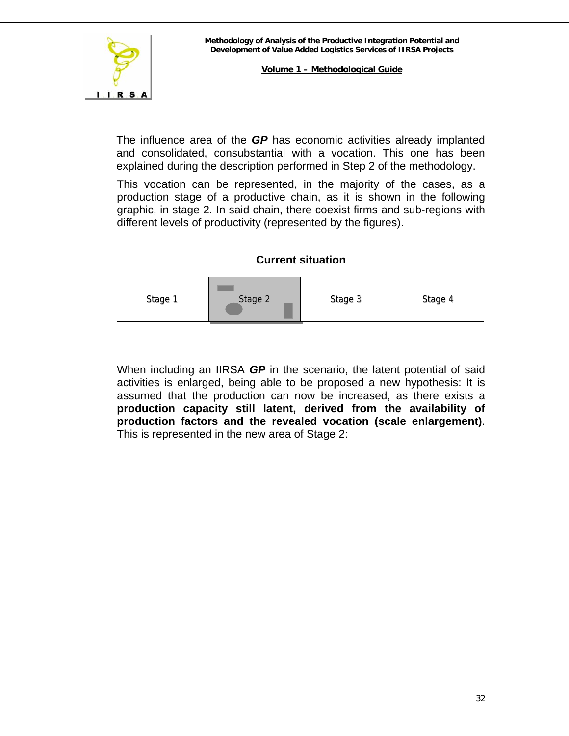

The influence area of the *GP* has economic activities already implanted and consolidated, consubstantial with a vocation. This one has been explained during the description performed in Step 2 of the methodology.

This vocation can be represented, in the majority of the cases, as a production stage of a productive chain, as it is shown in the following graphic, in stage 2. In said chain, there coexist firms and sub-regions with different levels of productivity (represented by the figures).

# **Current situation**



When including an IIRSA *GP* in the scenario, the latent potential of said activities is enlarged, being able to be proposed a new hypothesis: It is assumed that the production can now be increased, as there exists a **production capacity still latent, derived from the availability of production factors and the revealed vocation (scale enlargement)**. This is represented in the new area of Stage 2: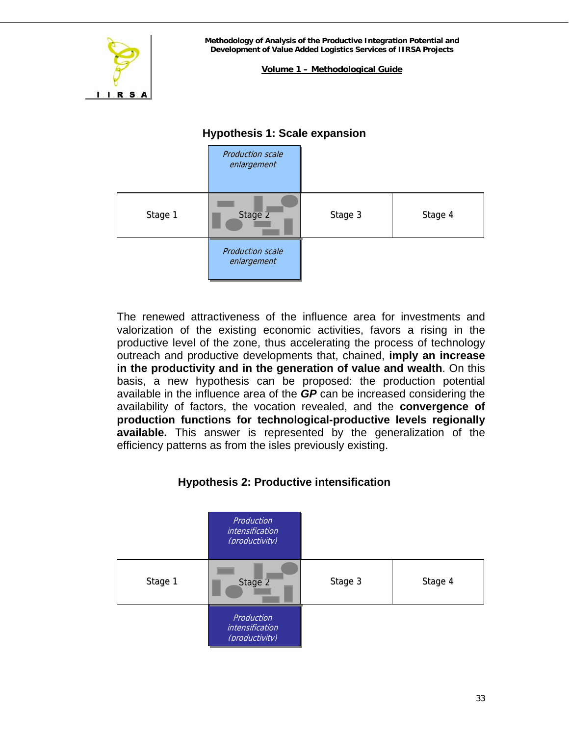

**Volume 1 – Methodological Guide**

# Stage 1 Stage 2 | Stage 3 | Stage 4 Production scale enlargement Production scale enlargement

# **Hypothesis 1: Scale expansion**

The renewed attractiveness of the influence area for investments and valorization of the existing economic activities, favors a rising in the productive level of the zone, thus accelerating the process of technology outreach and productive developments that, chained, **imply an increase in the productivity and in the generation of value and wealth**. On this basis, a new hypothesis can be proposed: the production potential available in the influence area of the *GP* can be increased considering the availability of factors, the vocation revealed, and the **convergence of production functions for technological-productive levels regionally available.** This answer is represented by the generalization of the efficiency patterns as from the isles previously existing.

# **Hypothesis 2: Productive intensification**

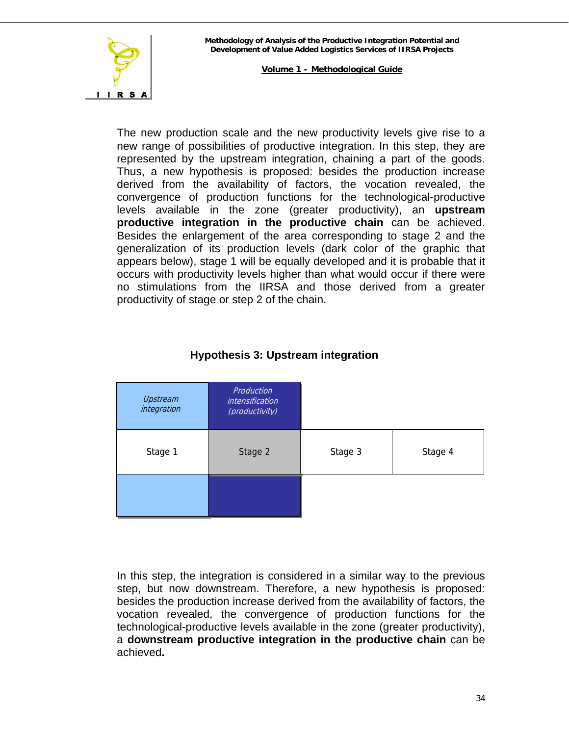

The new production scale and the new productivity levels give rise to a new range of possibilities of productive integration. In this step, they are represented by the upstream integration, chaining a part of the goods. Thus, a new hypothesis is proposed: besides the production increase derived from the availability of factors, the vocation revealed, the convergence of production functions for the technological-productive levels available in the zone (greater productivity), an **upstream productive integration in the productive chain** can be achieved. Besides the enlargement of the area corresponding to stage 2 and the generalization of its production levels (dark color of the graphic that appears below), stage 1 will be equally developed and it is probable that it occurs with productivity levels higher than what would occur if there were no stimulations from the IIRSA and those derived from a greater productivity of stage or step 2 of the chain.

| Upstream<br>integration | Production<br>intensification<br>(productivity) |         |         |
|-------------------------|-------------------------------------------------|---------|---------|
| Stage 1                 | Stage 2                                         | Stage 3 | Stage 4 |
|                         |                                                 |         |         |

# **Hypothesis 3: Upstream integration**

In this step, the integration is considered in a similar way to the previous step, but now downstream. Therefore, a new hypothesis is proposed: besides the production increase derived from the availability of factors, the vocation revealed, the convergence of production functions for the technological-productive levels available in the zone (greater productivity), a **downstream productive integration in the productive chain** can be achieved**.**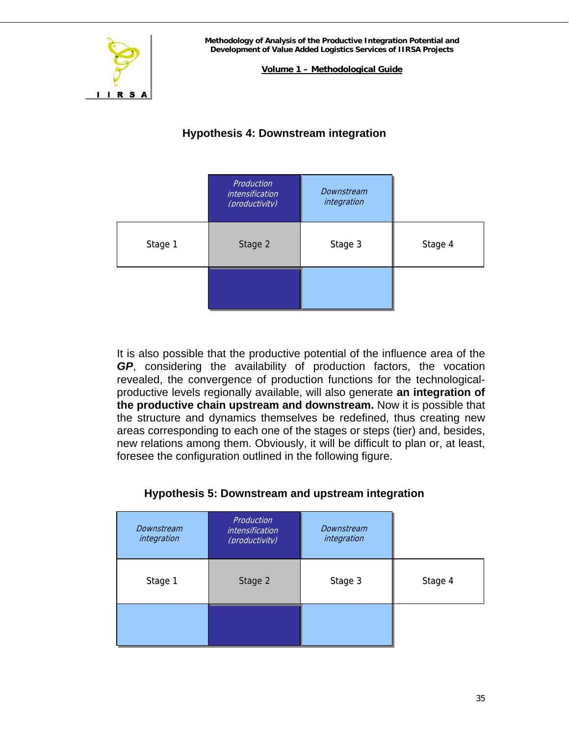

**Volume 1 – Methodological Guide**

# **Hypothesis 4: Downstream integration**

|         | Production<br><i>intensification</i><br>(productivity) | Downstream<br>integration |         |
|---------|--------------------------------------------------------|---------------------------|---------|
| Stage 1 | Stage 2                                                | Stage 3                   | Stage 4 |
|         |                                                        |                           |         |

It is also possible that the productive potential of the influence area of the *GP*, considering the availability of production factors, the vocation revealed, the convergence of production functions for the technologicalproductive levels regionally available, will also generate **an integration of the productive chain upstream and downstream.** Now it is possible that the structure and dynamics themselves be redefined, thus creating new areas corresponding to each one of the stages or steps (tier) and, besides, new relations among them. Obviously, it will be difficult to plan or, at least, foresee the configuration outlined in the following figure.

# **Hypothesis 5: Downstream and upstream integration**

| Downstream<br>integration | Production<br><i>intensification</i><br>(productivity) | Downstream<br>integration |         |
|---------------------------|--------------------------------------------------------|---------------------------|---------|
| Stage 1                   | Stage 2                                                | Stage 3                   | Stage 4 |
|                           |                                                        |                           |         |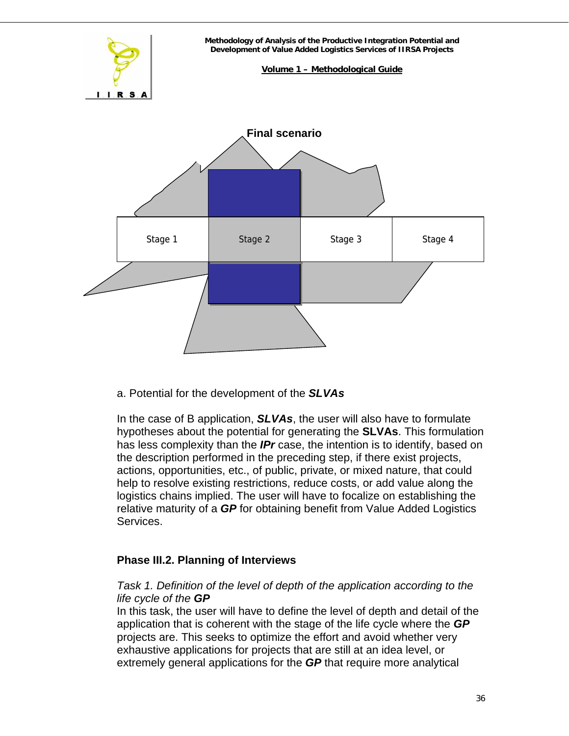

a. Potential for the development of the *SLVAs*

In the case of B application, *SLVAs*, the user will also have to formulate hypotheses about the potential for generating the **SLVAs**. This formulation has less complexity than the *IPr* case, the intention is to identify, based on the description performed in the preceding step, if there exist projects, actions, opportunities, etc., of public, private, or mixed nature, that could help to resolve existing restrictions, reduce costs, or add value along the logistics chains implied. The user will have to focalize on establishing the relative maturity of a *GP* for obtaining benefit from Value Added Logistics Services.

# **Phase III.2. Planning of Interviews**

# *Task 1. Definition of the level of depth of the application according to the life cycle of the GP*

In this task, the user will have to define the level of depth and detail of the application that is coherent with the stage of the life cycle where the *GP* projects are. This seeks to optimize the effort and avoid whether very exhaustive applications for projects that are still at an idea level, or extremely general applications for the *GP* that require more analytical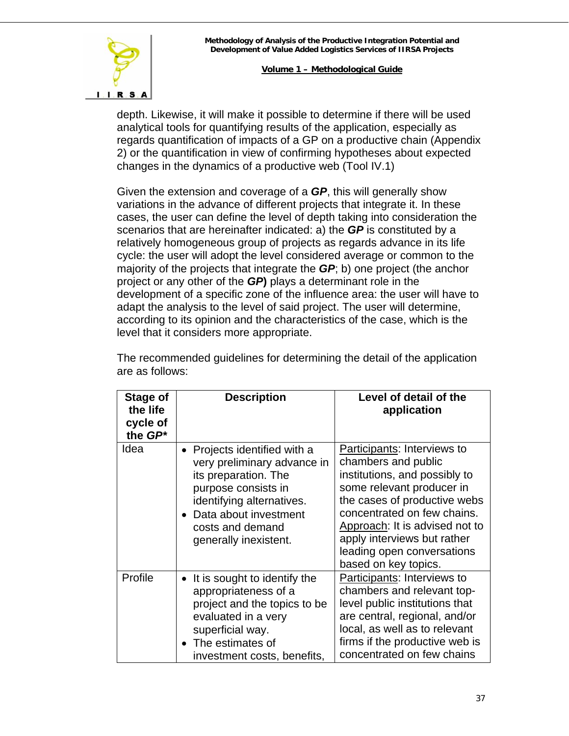

depth. Likewise, it will make it possible to determine if there will be used analytical tools for quantifying results of the application, especially as regards quantification of impacts of a GP on a productive chain (Appendix 2) or the quantification in view of confirming hypotheses about expected changes in the dynamics of a productive web (Tool IV.1)

Given the extension and coverage of a *GP*, this will generally show variations in the advance of different projects that integrate it. In these cases, the user can define the level of depth taking into consideration the scenarios that are hereinafter indicated: a) the *GP* is constituted by a relatively homogeneous group of projects as regards advance in its life cycle: the user will adopt the level considered average or common to the majority of the projects that integrate the *GP*; b) one project (the anchor project or any other of the *GP***)** plays a determinant role in the development of a specific zone of the influence area: the user will have to adapt the analysis to the level of said project. The user will determine, according to its opinion and the characteristics of the case, which is the level that it considers more appropriate.

| Stage of<br>the life<br>cycle of<br>the GP* | <b>Description</b>                                                                                                                                                                                              | Level of detail of the<br>application                                                                                                                                                                                                                                                                  |
|---------------------------------------------|-----------------------------------------------------------------------------------------------------------------------------------------------------------------------------------------------------------------|--------------------------------------------------------------------------------------------------------------------------------------------------------------------------------------------------------------------------------------------------------------------------------------------------------|
| Idea                                        | • Projects identified with a<br>very preliminary advance in<br>its preparation. The<br>purpose consists in<br>identifying alternatives.<br>• Data about investment<br>costs and demand<br>generally inexistent. | Participants: Interviews to<br>chambers and public<br>institutions, and possibly to<br>some relevant producer in<br>the cases of productive webs<br>concentrated on few chains.<br>Approach: It is advised not to<br>apply interviews but rather<br>leading open conversations<br>based on key topics. |
| Profile                                     | It is sought to identify the<br>appropriateness of a<br>project and the topics to be<br>evaluated in a very<br>superficial way.<br>• The estimates of<br>investment costs, benefits,                            | Participants: Interviews to<br>chambers and relevant top-<br>level public institutions that<br>are central, regional, and/or<br>local, as well as to relevant<br>firms if the productive web is<br>concentrated on few chains                                                                          |

The recommended guidelines for determining the detail of the application are as follows: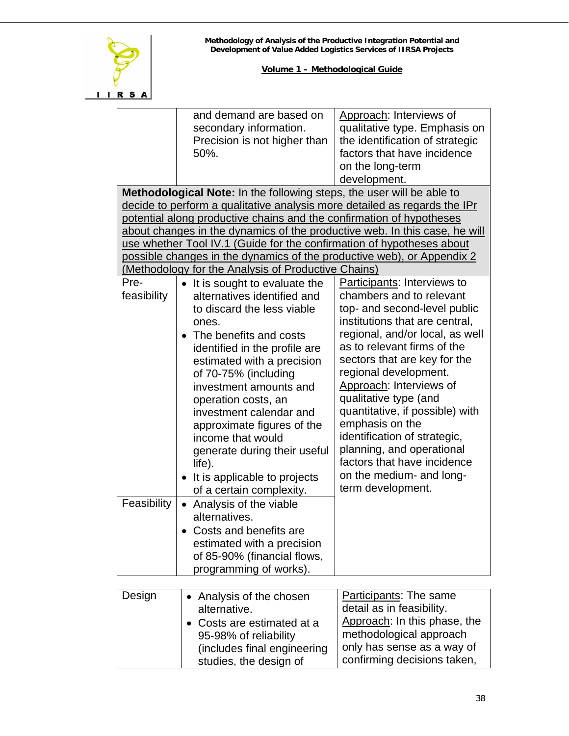

|             | and demand are based on                                                    | Approach: Interviews of         |  |  |
|-------------|----------------------------------------------------------------------------|---------------------------------|--|--|
|             | secondary information.                                                     | qualitative type. Emphasis on   |  |  |
|             | Precision is not higher than                                               | the identification of strategic |  |  |
|             | 50%.                                                                       | factors that have incidence     |  |  |
|             |                                                                            | on the long-term                |  |  |
|             |                                                                            | development.                    |  |  |
|             | Methodological Note: In the following steps, the user will be able to      |                                 |  |  |
|             | decide to perform a qualitative analysis more detailed as regards the IPr  |                                 |  |  |
|             | potential along productive chains and the confirmation of hypotheses       |                                 |  |  |
|             | about changes in the dynamics of the productive web. In this case, he will |                                 |  |  |
|             | use whether Tool IV.1 (Guide for the confirmation of hypotheses about      |                                 |  |  |
|             | possible changes in the dynamics of the productive web), or Appendix 2     |                                 |  |  |
|             | (Methodology for the Analysis of Productive Chains)                        |                                 |  |  |
| Pre-        |                                                                            |                                 |  |  |
|             | • It is sought to evaluate the                                             | Participants: Interviews to     |  |  |
| feasibility | alternatives identified and                                                | chambers and to relevant        |  |  |
|             | to discard the less viable                                                 | top- and second-level public    |  |  |
|             | ones.                                                                      | institutions that are central,  |  |  |
|             | The benefits and costs                                                     | regional, and/or local, as well |  |  |
|             | identified in the profile are                                              | as to relevant firms of the     |  |  |
|             | estimated with a precision                                                 | sectors that are key for the    |  |  |
|             | of 70-75% (including                                                       | regional development.           |  |  |
|             | investment amounts and                                                     | Approach: Interviews of         |  |  |
|             | operation costs, an                                                        | qualitative type (and           |  |  |
|             | investment calendar and                                                    | quantitative, if possible) with |  |  |
|             | approximate figures of the                                                 | emphasis on the                 |  |  |
|             | income that would                                                          | identification of strategic,    |  |  |
|             | generate during their useful                                               | planning, and operational       |  |  |
|             | life).                                                                     | factors that have incidence     |  |  |
|             |                                                                            | on the medium- and long-        |  |  |
|             | It is applicable to projects                                               | term development.               |  |  |
|             | of a certain complexity.                                                   |                                 |  |  |
| Feasibility | Analysis of the viable<br>$\bullet$                                        |                                 |  |  |
|             | alternatives.                                                              |                                 |  |  |
|             | Costs and benefits are                                                     |                                 |  |  |
|             | estimated with a precision                                                 |                                 |  |  |
|             | of 85-90% (financial flows,                                                |                                 |  |  |
|             | programming of works).                                                     |                                 |  |  |
|             |                                                                            |                                 |  |  |
| Design      | • Analysis of the chosen                                                   | Participants: The same          |  |  |
|             | alternative.                                                               | detail as in feasibility.       |  |  |
|             | Costs are estimated at a                                                   | Approach: In this phase, the    |  |  |
|             | 95-98% of reliability                                                      | methodological approach         |  |  |
|             |                                                                            | only has sense as a way of      |  |  |
|             | (includes final engineering                                                |                                 |  |  |
|             | studies, the design of                                                     | confirming decisions taken,     |  |  |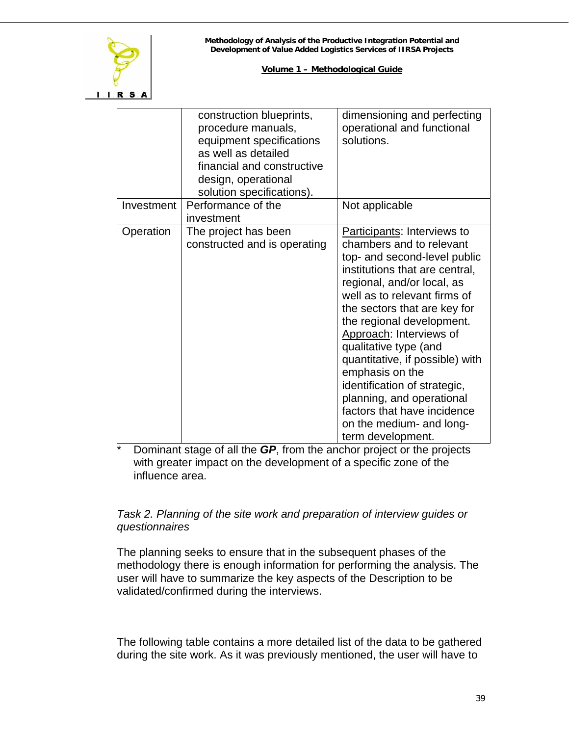

|            | construction blueprints,<br>procedure manuals,<br>equipment specifications<br>as well as detailed<br>financial and constructive<br>design, operational<br>solution specifications). | dimensioning and perfecting<br>operational and functional<br>solutions.                                                                                                                                                                                                                                                                                                                                                                                                                                     |
|------------|-------------------------------------------------------------------------------------------------------------------------------------------------------------------------------------|-------------------------------------------------------------------------------------------------------------------------------------------------------------------------------------------------------------------------------------------------------------------------------------------------------------------------------------------------------------------------------------------------------------------------------------------------------------------------------------------------------------|
| Investment | Performance of the<br>investment                                                                                                                                                    | Not applicable                                                                                                                                                                                                                                                                                                                                                                                                                                                                                              |
| Operation  | The project has been<br>constructed and is operating                                                                                                                                | Participants: Interviews to<br>chambers and to relevant<br>top- and second-level public<br>institutions that are central,<br>regional, and/or local, as<br>well as to relevant firms of<br>the sectors that are key for<br>the regional development.<br>Approach: Interviews of<br>qualitative type (and<br>quantitative, if possible) with<br>emphasis on the<br>identification of strategic,<br>planning, and operational<br>factors that have incidence<br>on the medium- and long-<br>term development. |

\* Dominant stage of all the *GP*, from the anchor project or the projects with greater impact on the development of a specific zone of the influence area.

# *Task 2. Planning of the site work and preparation of interview guides or questionnaires*

The planning seeks to ensure that in the subsequent phases of the methodology there is enough information for performing the analysis. The user will have to summarize the key aspects of the Description to be validated/confirmed during the interviews.

The following table contains a more detailed list of the data to be gathered during the site work. As it was previously mentioned, the user will have to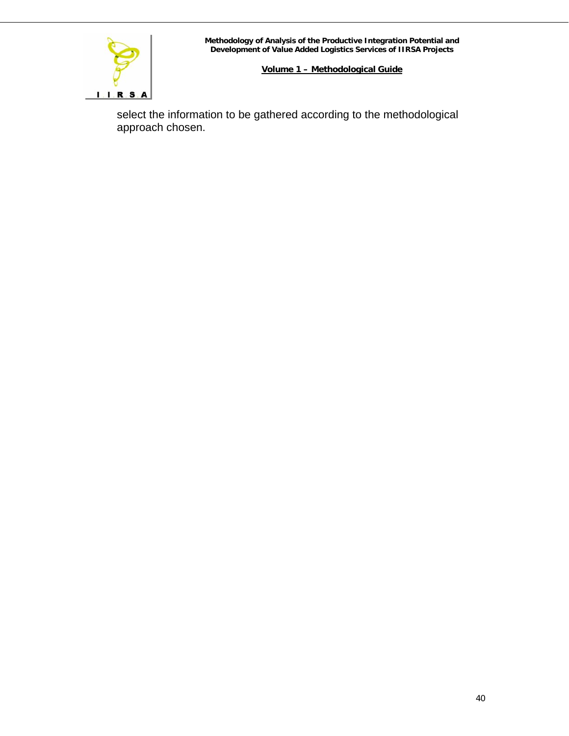

select the information to be gathered according to the methodological approach chosen.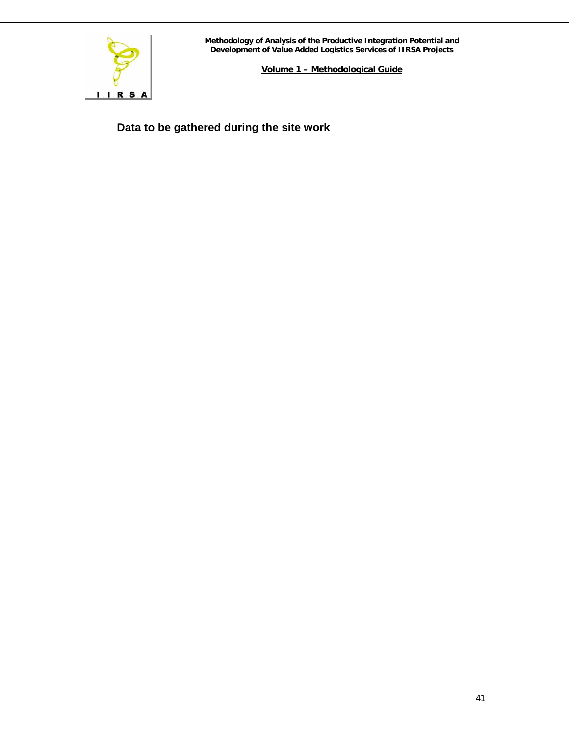

**Volume 1 – Methodological Guide**

**Data to be gathered during the site work**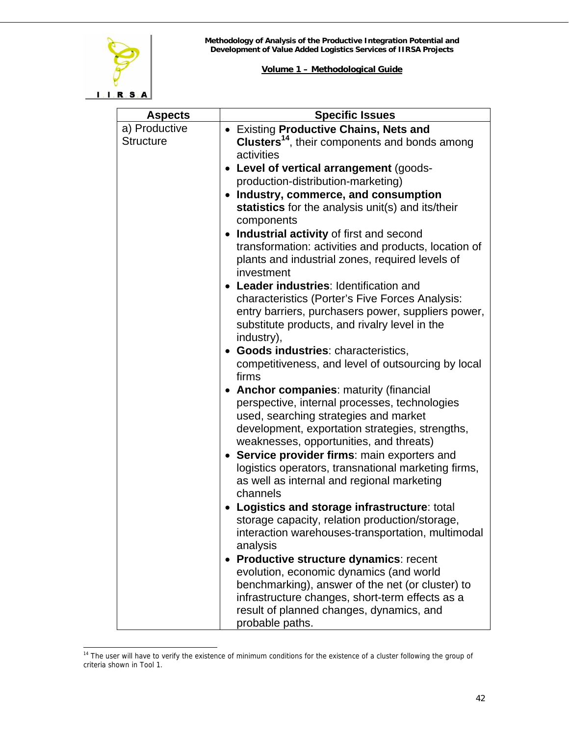

| <b>Aspects</b>   | <b>Specific Issues</b>                                                                                                                                        |
|------------------|---------------------------------------------------------------------------------------------------------------------------------------------------------------|
| a) Productive    | • Existing Productive Chains, Nets and                                                                                                                        |
| <b>Structure</b> | <b>Clusters<sup>14</sup></b> , their components and bonds among<br>activities                                                                                 |
|                  | Level of vertical arrangement (goods-                                                                                                                         |
|                  | production-distribution-marketing)                                                                                                                            |
|                  | Industry, commerce, and consumption<br>statistics for the analysis unit(s) and its/their<br>components                                                        |
|                  | Industrial activity of first and second                                                                                                                       |
|                  | transformation: activities and products, location of<br>plants and industrial zones, required levels of<br>investment                                         |
|                  | • Leader industries: Identification and                                                                                                                       |
|                  | characteristics (Porter's Five Forces Analysis:<br>entry barriers, purchasers power, suppliers power,                                                         |
|                  | substitute products, and rivalry level in the<br>industry),                                                                                                   |
|                  | <b>Goods industries: characteristics,</b>                                                                                                                     |
|                  | competitiveness, and level of outsourcing by local<br>firms                                                                                                   |
|                  | <b>Anchor companies: maturity (financial</b>                                                                                                                  |
|                  | perspective, internal processes, technologies                                                                                                                 |
|                  | used, searching strategies and market                                                                                                                         |
|                  | development, exportation strategies, strengths,<br>weaknesses, opportunities, and threats)                                                                    |
|                  | • Service provider firms: main exporters and<br>logistics operators, transnational marketing firms,<br>as well as internal and regional marketing<br>channels |
|                  | Logistics and storage infrastructure: total                                                                                                                   |
|                  | storage capacity, relation production/storage<br>interaction warehouses-transportation, multimodal<br>analysis                                                |
|                  | • Productive structure dynamics: recent                                                                                                                       |
|                  | evolution, economic dynamics (and world                                                                                                                       |
|                  | benchmarking), answer of the net (or cluster) to                                                                                                              |
|                  | infrastructure changes, short-term effects as a<br>result of planned changes, dynamics, and                                                                   |
|                  | probable paths.                                                                                                                                               |

<span id="page-41-0"></span>l <sup>14</sup> The user will have to verify the existence of minimum conditions for the existence of a cluster following the group of criteria shown in Tool 1.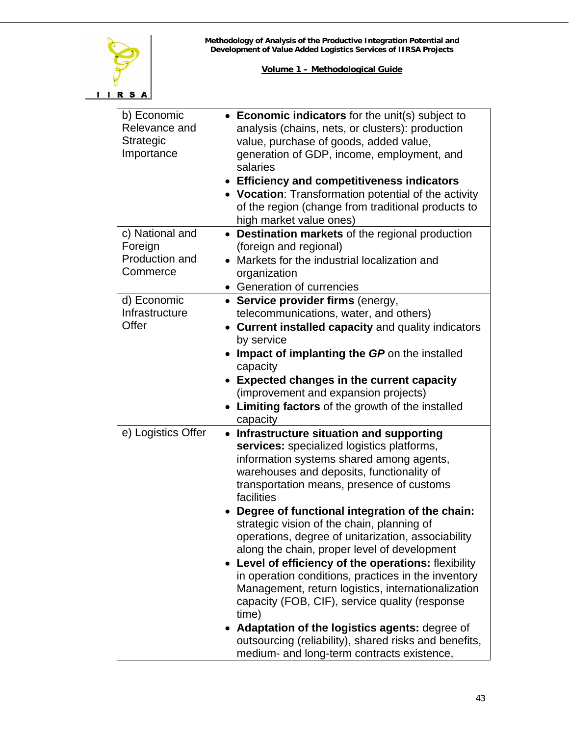

| b) Economic<br>Relevance and<br>Strategic<br>Importance  | • Economic indicators for the unit(s) subject to<br>analysis (chains, nets, or clusters): production<br>value, purchase of goods, added value,<br>generation of GDP, income, employment, and<br>salaries<br><b>Efficiency and competitiveness indicators</b><br>$\bullet$<br>• Vocation: Transformation potential of the activity<br>of the region (change from traditional products to<br>high market value ones)                                                                                                                                                                                                                                                                                                                                                                                                                                   |
|----------------------------------------------------------|------------------------------------------------------------------------------------------------------------------------------------------------------------------------------------------------------------------------------------------------------------------------------------------------------------------------------------------------------------------------------------------------------------------------------------------------------------------------------------------------------------------------------------------------------------------------------------------------------------------------------------------------------------------------------------------------------------------------------------------------------------------------------------------------------------------------------------------------------|
| c) National and<br>Foreign<br>Production and<br>Commerce | • Destination markets of the regional production<br>(foreign and regional)<br>• Markets for the industrial localization and<br>organization<br>• Generation of currencies                                                                                                                                                                                                                                                                                                                                                                                                                                                                                                                                                                                                                                                                            |
| d) Economic<br>Infrastructure<br>Offer                   | • Service provider firms (energy,<br>telecommunications, water, and others)<br><b>Current installed capacity and quality indicators</b><br>$\bullet$<br>by service<br>Impact of implanting the GP on the installed<br>capacity<br><b>Expected changes in the current capacity</b><br>$\bullet$<br>(improvement and expansion projects)<br>Limiting factors of the growth of the installed<br>capacity                                                                                                                                                                                                                                                                                                                                                                                                                                                |
| e) Logistics Offer                                       | Infrastructure situation and supporting<br>$\bullet$<br>services: specialized logistics platforms,<br>information systems shared among agents,<br>warehouses and deposits, functionality of<br>transportation means, presence of customs<br>facilities<br>Degree of functional integration of the chain:<br>strategic vision of the chain, planning of<br>operations, degree of unitarization, associability<br>along the chain, proper level of development<br>Level of efficiency of the operations: flexibility<br>in operation conditions, practices in the inventory<br>Management, return logistics, internationalization<br>capacity (FOB, CIF), service quality (response<br>time)<br>• Adaptation of the logistics agents: degree of<br>outsourcing (reliability), shared risks and benefits,<br>medium- and long-term contracts existence, |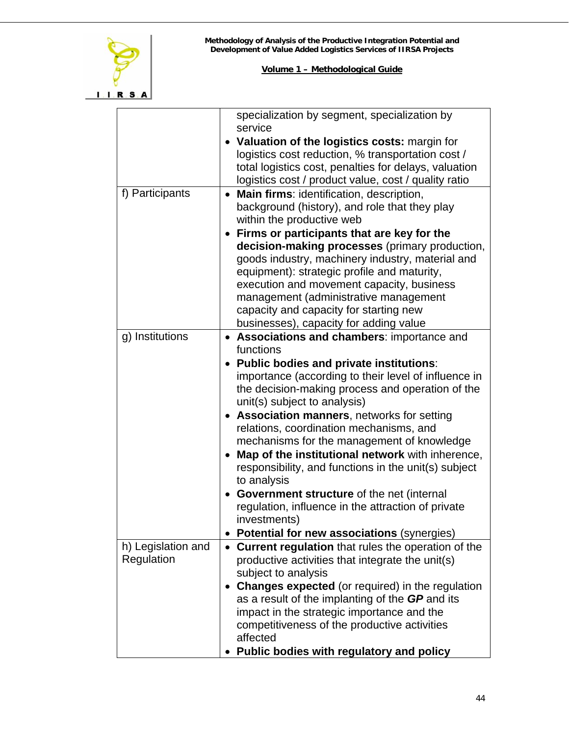

|                    | specialization by segment, specialization by<br>service |  |  |
|--------------------|---------------------------------------------------------|--|--|
|                    | • Valuation of the logistics costs: margin for          |  |  |
|                    | logistics cost reduction, % transportation cost /       |  |  |
|                    | total logistics cost, penalties for delays, valuation   |  |  |
|                    | logistics cost / product value, cost / quality ratio    |  |  |
| f) Participants    | Main firms: identification, description,                |  |  |
|                    | background (history), and role that they play           |  |  |
|                    | within the productive web                               |  |  |
|                    | Firms or participants that are key for the              |  |  |
|                    | decision-making processes (primary production,          |  |  |
|                    | goods industry, machinery industry, material and        |  |  |
|                    | equipment): strategic profile and maturity,             |  |  |
|                    | execution and movement capacity, business               |  |  |
|                    | management (administrative management                   |  |  |
|                    | capacity and capacity for starting new                  |  |  |
|                    | businesses), capacity for adding value                  |  |  |
| g) Institutions    | • Associations and chambers: importance and             |  |  |
|                    | functions                                               |  |  |
|                    | • Public bodies and private institutions:               |  |  |
|                    | importance (according to their level of influence in    |  |  |
|                    | the decision-making process and operation of the        |  |  |
|                    | unit(s) subject to analysis)                            |  |  |
|                    | <b>Association manners, networks for setting</b>        |  |  |
|                    | relations, coordination mechanisms, and                 |  |  |
|                    | mechanisms for the management of knowledge              |  |  |
|                    | Map of the institutional network with inherence,        |  |  |
|                    | responsibility, and functions in the unit(s) subject    |  |  |
|                    | to analysis                                             |  |  |
|                    | Government structure of the net (internal               |  |  |
|                    | regulation, influence in the attraction of private      |  |  |
|                    | investments)                                            |  |  |
|                    | <b>Potential for new associations (synergies)</b>       |  |  |
| h) Legislation and | • Current regulation that rules the operation of the    |  |  |
| Regulation         | productive activities that integrate the unit(s)        |  |  |
|                    | subject to analysis                                     |  |  |
|                    | <b>Changes expected</b> (or required) in the regulation |  |  |
|                    | as a result of the implanting of the GP and its         |  |  |
|                    | impact in the strategic importance and the              |  |  |
|                    | competitiveness of the productive activities            |  |  |
|                    | affected                                                |  |  |
|                    | Public bodies with regulatory and policy                |  |  |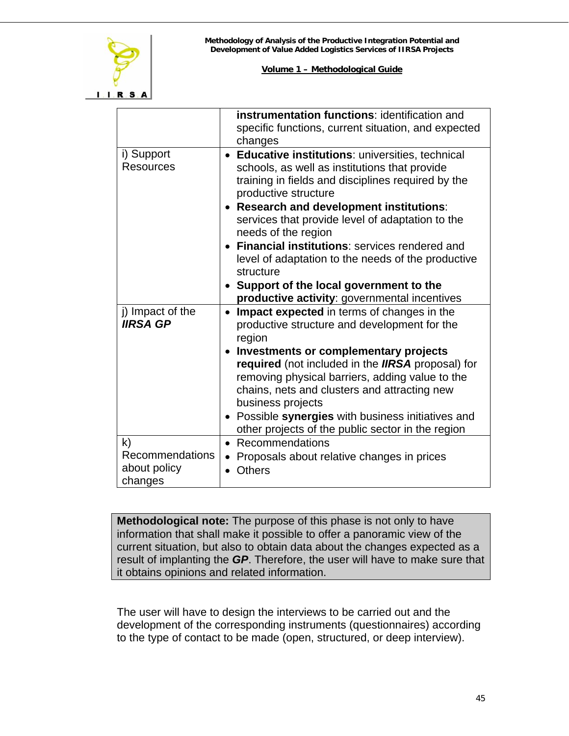

|                                                            | <b>instrumentation functions: identification and</b><br>specific functions, current situation, and expected<br>changes                                                                                                                                                                                                                                                                                                                             |
|------------------------------------------------------------|----------------------------------------------------------------------------------------------------------------------------------------------------------------------------------------------------------------------------------------------------------------------------------------------------------------------------------------------------------------------------------------------------------------------------------------------------|
| i) Support<br><b>Resources</b>                             | • Educative institutions: universities, technical<br>schools, as well as institutions that provide<br>training in fields and disciplines required by the<br>productive structure<br>• Research and development institutions:<br>services that provide level of adaptation to the<br>needs of the region                                                                                                                                            |
|                                                            | <b>Financial institutions: services rendered and</b><br>level of adaptation to the needs of the productive<br>structure<br>Support of the local government to the<br>productive activity: governmental incentives                                                                                                                                                                                                                                  |
| j) Impact of the<br><b>IIRSA GP</b>                        | Impact expected in terms of changes in the<br>$\bullet$<br>productive structure and development for the<br>region<br>Investments or complementary projects<br>required (not included in the IIRSA proposal) for<br>removing physical barriers, adding value to the<br>chains, nets and clusters and attracting new<br>business projects<br>• Possible synergies with business initiatives and<br>other projects of the public sector in the region |
| $\mathsf{k}$<br>Recommendations<br>about policy<br>changes | Recommendations<br>$\bullet$<br>Proposals about relative changes in prices<br>$\bullet$<br><b>Others</b><br>$\bullet$                                                                                                                                                                                                                                                                                                                              |

**Methodological note:** The purpose of this phase is not only to have information that shall make it possible to offer a panoramic view of the current situation, but also to obtain data about the changes expected as a result of implanting the *GP*. Therefore, the user will have to make sure that it obtains opinions and related information.

The user will have to design the interviews to be carried out and the development of the corresponding instruments (questionnaires) according to the type of contact to be made (open, structured, or deep interview).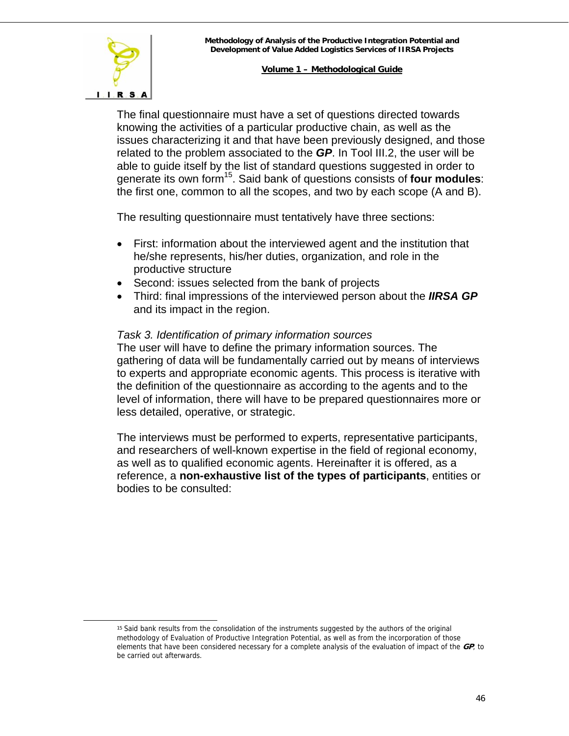

The final questionnaire must have a set of questions directed towards knowing the activities of a particular productive chain, as well as the issues characterizing it and that have been previously designed, and those related to the problem associated to the *GP*. In Tool III.2, the user will be able to guide itself by the list of standard questions suggested in order to generate its own form[15.](#page-45-0) Said bank of questions consists of **four modules**: the first one, common to all the scopes, and two by each scope (A and B).

The resulting questionnaire must tentatively have three sections:

- First: information about the interviewed agent and the institution that he/she represents, his/her duties, organization, and role in the productive structure
- Second: issues selected from the bank of projects
- Third: final impressions of the interviewed person about the *IIRSA GP* and its impact in the region.

#### *Task 3. Identification of primary information sources*

The user will have to define the primary information sources. The gathering of data will be fundamentally carried out by means of interviews to experts and appropriate economic agents. This process is iterative with the definition of the questionnaire as according to the agents and to the level of information, there will have to be prepared questionnaires more or less detailed, operative, or strategic.

The interviews must be performed to experts, representative participants, and researchers of well-known expertise in the field of regional economy, as well as to qualified economic agents. Hereinafter it is offered, as a reference, a **non-exhaustive list of the types of participants**, entities or bodies to be consulted:

<span id="page-45-0"></span> <sup>15</sup> Said bank results from the consolidation of the instruments suggested by the authors of the original methodology of Evaluation of Productive Integration Potential, as well as from the incorporation of those elements that have been considered necessary for a complete analysis of the evaluation of impact of the **GP**, to be carried out afterwards.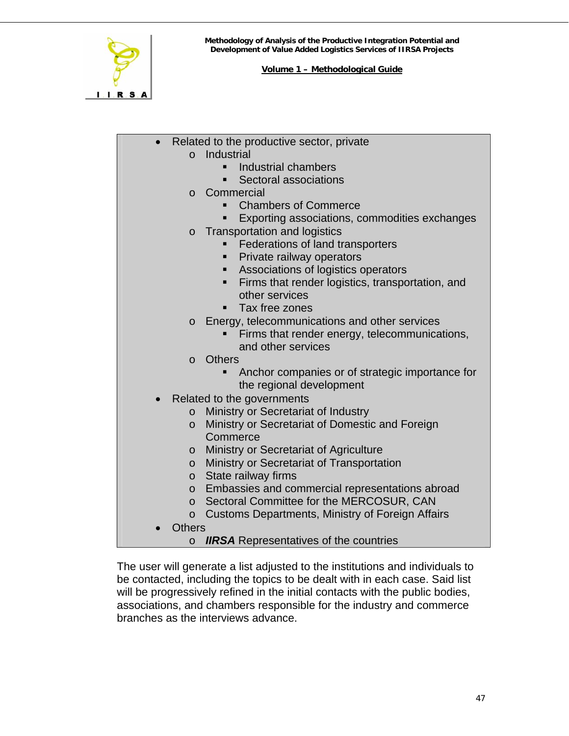

- Related to the productive sector, private o Industrial
	- **Industrial chambers**
	- Sectoral associations
	- o Commercial
		- Chambers of Commerce
		- **Exporting associations, commodities exchanges**
	- o Transportation and logistics
		- **Federations of land transporters**
		- **Private railway operators**
		- **Associations of logistics operators**
		- **Firms that render logistics, transportation, and** other services
		- **Tax free zones**
	- o Energy, telecommunications and other services
		- **Firms that render energy, telecommunications,** and other services
	- o Others
		- Anchor companies or of strategic importance for the regional development
	- Related to the governments
		- o Ministry or Secretariat of Industry
		- o Ministry or Secretariat of Domestic and Foreign **Commerce**
		- o Ministry or Secretariat of Agriculture
		- o Ministry or Secretariat of Transportation
		- o State railway firms
		- o Embassies and commercial representations abroad
		- o Sectoral Committee for the MERCOSUR, CAN
		- o Customs Departments, Ministry of Foreign Affairs
	- Others
		- o *IIRSA* Representatives of the countries

The user will generate a list adjusted to the institutions and individuals to be contacted, including the topics to be dealt with in each case. Said list will be progressively refined in the initial contacts with the public bodies, associations, and chambers responsible for the industry and commerce branches as the interviews advance.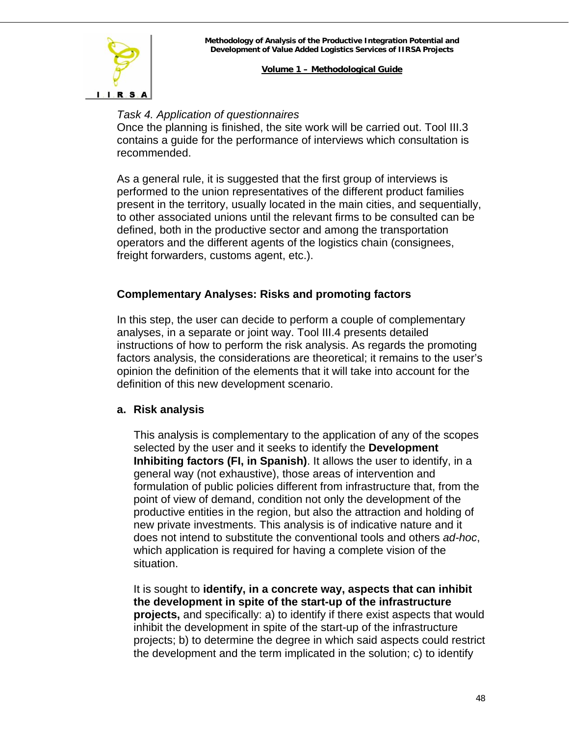

#### *Task 4. Application of questionnaires*

Once the planning is finished, the site work will be carried out. Tool III.3 contains a guide for the performance of interviews which consultation is recommended.

As a general rule, it is suggested that the first group of interviews is performed to the union representatives of the different product families present in the territory, usually located in the main cities, and sequentially, to other associated unions until the relevant firms to be consulted can be defined, both in the productive sector and among the transportation operators and the different agents of the logistics chain (consignees, freight forwarders, customs agent, etc.).

# **Complementary Analyses: Risks and promoting factors**

In this step, the user can decide to perform a couple of complementary analyses, in a separate or joint way. Tool III.4 presents detailed instructions of how to perform the risk analysis. As regards the promoting factors analysis, the considerations are theoretical; it remains to the user's opinion the definition of the elements that it will take into account for the definition of this new development scenario.

#### **a. Risk analysis**

This analysis is complementary to the application of any of the scopes selected by the user and it seeks to identify the **Development Inhibiting factors (FI, in Spanish)**. It allows the user to identify, in a general way (not exhaustive), those areas of intervention and formulation of public policies different from infrastructure that, from the point of view of demand, condition not only the development of the productive entities in the region, but also the attraction and holding of new private investments. This analysis is of indicative nature and it does not intend to substitute the conventional tools and others *ad-hoc*, which application is required for having a complete vision of the situation.

It is sought to **identify, in a concrete way, aspects that can inhibit the development in spite of the start-up of the infrastructure projects,** and specifically: a) to identify if there exist aspects that would inhibit the development in spite of the start-up of the infrastructure projects; b) to determine the degree in which said aspects could restrict the development and the term implicated in the solution; c) to identify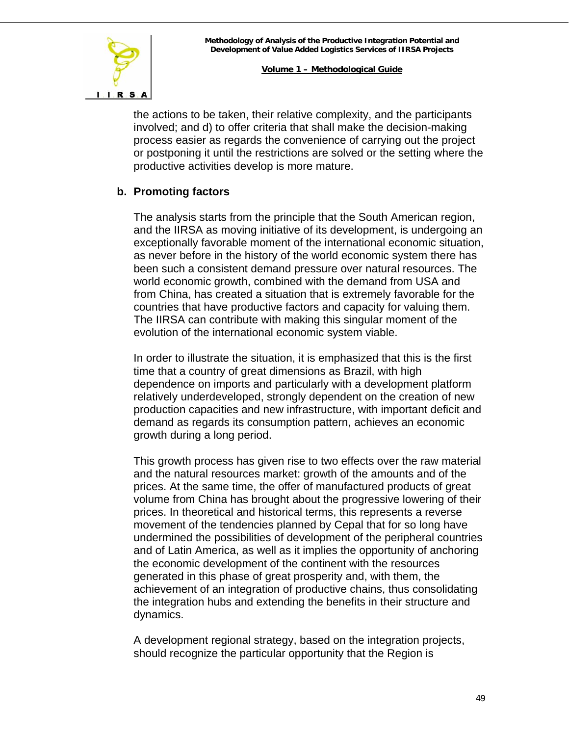

the actions to be taken, their relative complexity, and the participants involved; and d) to offer criteria that shall make the decision-making process easier as regards the convenience of carrying out the project or postponing it until the restrictions are solved or the setting where the productive activities develop is more mature.

# **b. Promoting factors**

The analysis starts from the principle that the South American region, and the IIRSA as moving initiative of its development, is undergoing an exceptionally favorable moment of the international economic situation, as never before in the history of the world economic system there has been such a consistent demand pressure over natural resources. The world economic growth, combined with the demand from USA and from China, has created a situation that is extremely favorable for the countries that have productive factors and capacity for valuing them. The IIRSA can contribute with making this singular moment of the evolution of the international economic system viable.

In order to illustrate the situation, it is emphasized that this is the first time that a country of great dimensions as Brazil, with high dependence on imports and particularly with a development platform relatively underdeveloped, strongly dependent on the creation of new production capacities and new infrastructure, with important deficit and demand as regards its consumption pattern, achieves an economic growth during a long period.

This growth process has given rise to two effects over the raw material and the natural resources market: growth of the amounts and of the prices. At the same time, the offer of manufactured products of great volume from China has brought about the progressive lowering of their prices. In theoretical and historical terms, this represents a reverse movement of the tendencies planned by Cepal that for so long have undermined the possibilities of development of the peripheral countries and of Latin America, as well as it implies the opportunity of anchoring the economic development of the continent with the resources generated in this phase of great prosperity and, with them, the achievement of an integration of productive chains, thus consolidating the integration hubs and extending the benefits in their structure and dynamics.

A development regional strategy, based on the integration projects, should recognize the particular opportunity that the Region is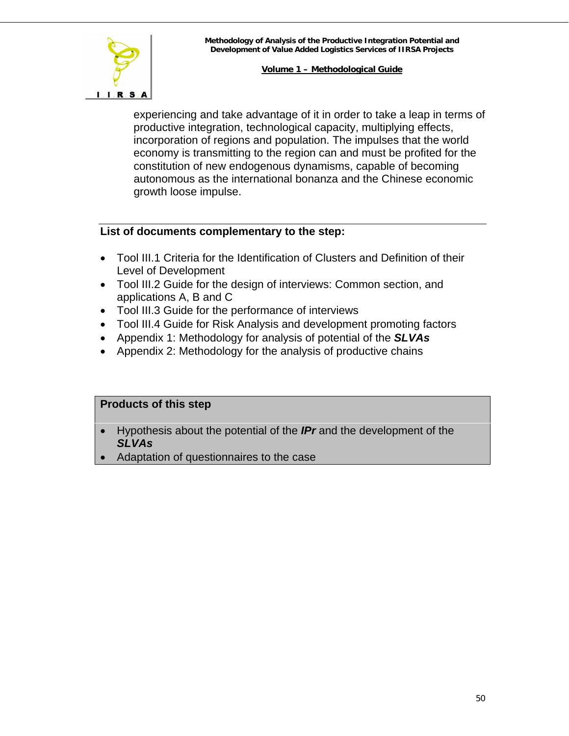

experiencing and take advantage of it in order to take a leap in terms of productive integration, technological capacity, multiplying effects, incorporation of regions and population. The impulses that the world economy is transmitting to the region can and must be profited for the constitution of new endogenous dynamisms, capable of becoming autonomous as the international bonanza and the Chinese economic growth loose impulse.

# **List of documents complementary to the step:**

- Tool III.1 Criteria for the Identification of Clusters and Definition of their Level of Development
- Tool III.2 Guide for the design of interviews: Common section, and applications A, B and C
- Tool III.3 Guide for the performance of interviews
- Tool III.4 Guide for Risk Analysis and development promoting factors
- Appendix 1: Methodology for analysis of potential of the *SLVAs*
- Appendix 2: Methodology for the analysis of productive chains

# **Products of this step**

- Hypothesis about the potential of the *IPr* and the development of the *SLVAs*
- Adaptation of questionnaires to the case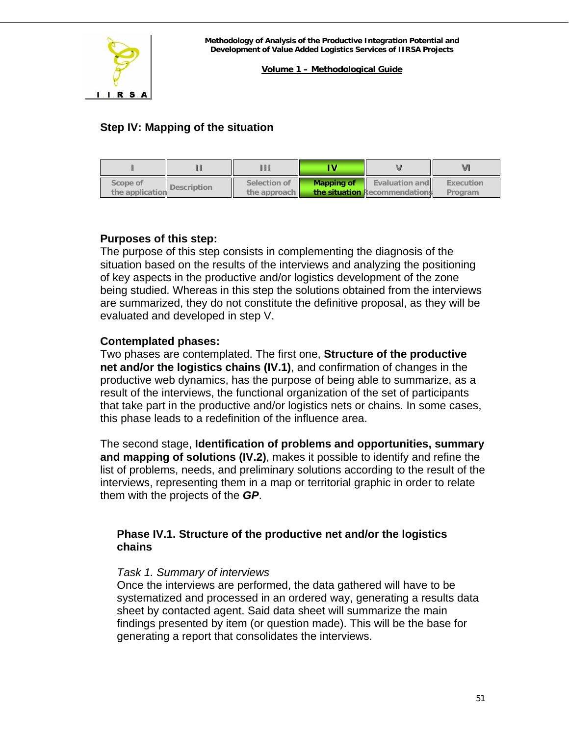<span id="page-50-0"></span>

**Volume 1 – Methodological Guide**

# **Step IV: Mapping of the situation**

| Scope of<br>the application | Description | Selection of<br>the approach | <b>Mapping of</b> | <b>Evaluation and</b><br>the situation Recommendations | Execution<br>Program |
|-----------------------------|-------------|------------------------------|-------------------|--------------------------------------------------------|----------------------|

# **Purposes of this step:**

The purpose of this step consists in complementing the diagnosis of the situation based on the results of the interviews and analyzing the positioning of key aspects in the productive and/or logistics development of the zone being studied. Whereas in this step the solutions obtained from the interviews are summarized, they do not constitute the definitive proposal, as they will be evaluated and developed in step V.

#### **Contemplated phases:**

Two phases are contemplated. The first one, **Structure of the productive net and/or the logistics chains (IV.1)**, and confirmation of changes in the productive web dynamics, has the purpose of being able to summarize, as a result of the interviews, the functional organization of the set of participants that take part in the productive and/or logistics nets or chains. In some cases, this phase leads to a redefinition of the influence area.

The second stage, **Identification of problems and opportunities, summary and mapping of solutions (IV.2)**, makes it possible to identify and refine the list of problems, needs, and preliminary solutions according to the result of the interviews, representing them in a map or territorial graphic in order to relate them with the projects of the *GP*.

# **Phase IV.1. Structure of the productive net and/or the logistics chains**

#### *Task 1. Summary of interviews*

Once the interviews are performed, the data gathered will have to be systematized and processed in an ordered way, generating a results data sheet by contacted agent. Said data sheet will summarize the main findings presented by item (or question made). This will be the base for generating a report that consolidates the interviews.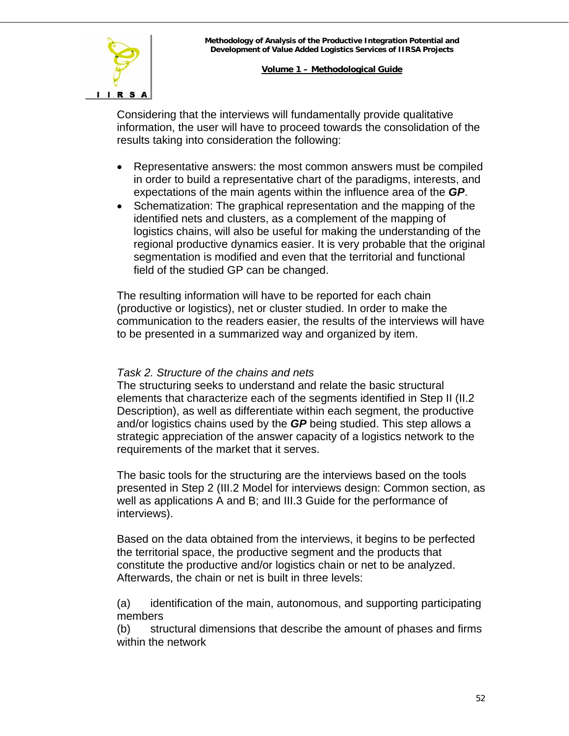

Considering that the interviews will fundamentally provide qualitative information, the user will have to proceed towards the consolidation of the results taking into consideration the following:

- Representative answers: the most common answers must be compiled in order to build a representative chart of the paradigms, interests, and expectations of the main agents within the influence area of the *GP*.
- Schematization: The graphical representation and the mapping of the identified nets and clusters, as a complement of the mapping of logistics chains, will also be useful for making the understanding of the regional productive dynamics easier. It is very probable that the original segmentation is modified and even that the territorial and functional field of the studied GP can be changed.

The resulting information will have to be reported for each chain (productive or logistics), net or cluster studied. In order to make the communication to the readers easier, the results of the interviews will have to be presented in a summarized way and organized by item.

#### *Task 2. Structure of the chains and nets*

The structuring seeks to understand and relate the basic structural elements that characterize each of the segments identified in Step II (II.2 Description), as well as differentiate within each segment, the productive and/or logistics chains used by the *GP* being studied. This step allows a strategic appreciation of the answer capacity of a logistics network to the requirements of the market that it serves.

The basic tools for the structuring are the interviews based on the tools presented in Step 2 (III.2 Model for interviews design: Common section, as well as applications A and B; and III.3 Guide for the performance of interviews).

Based on the data obtained from the interviews, it begins to be perfected the territorial space, the productive segment and the products that constitute the productive and/or logistics chain or net to be analyzed. Afterwards, the chain or net is built in three levels:

(a) identification of the main, autonomous, and supporting participating members

(b) structural dimensions that describe the amount of phases and firms within the network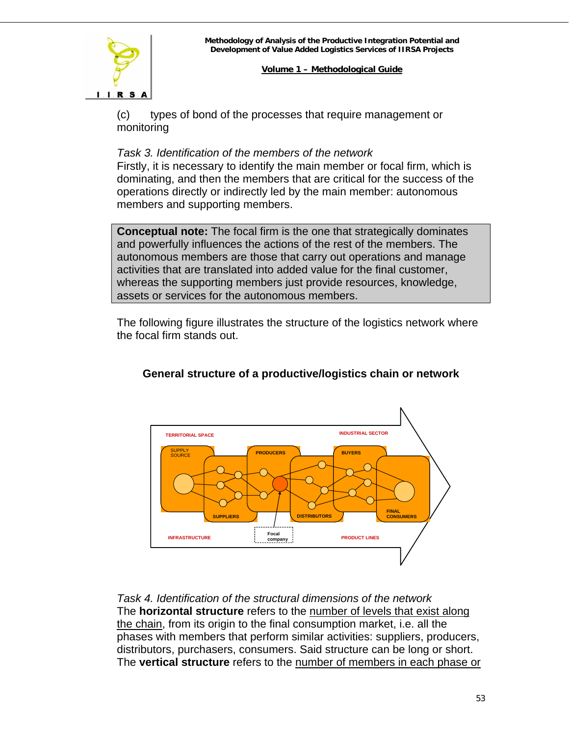# $I. I. R. S. A$

#### **Volume 1 – Methodological Guide**

(c) types of bond of the processes that require management or monitoring

# *Task 3. Identification of the members of the network*

Firstly, it is necessary to identify the main member or focal firm, which is dominating, and then the members that are critical for the success of the operations directly or indirectly led by the main member: autonomous members and supporting members.

**Conceptual note:** The focal firm is the one that strategically dominates and powerfully influences the actions of the rest of the members. The autonomous members are those that carry out operations and manage activities that are translated into added value for the final customer, whereas the supporting members just provide resources, knowledge, assets or services for the autonomous members.

The following figure illustrates the structure of the logistics network where the focal firm stands out.



# **General structure of a productive/logistics chain or network**

*Task 4. Identification of the structural dimensions of the network*  The **horizontal structure** refers to the number of levels that exist along the chain, from its origin to the final consumption market, i.e. all the phases with members that perform similar activities: suppliers, producers, distributors, purchasers, consumers. Said structure can be long or short. The **vertical structure** refers to the number of members in each phase or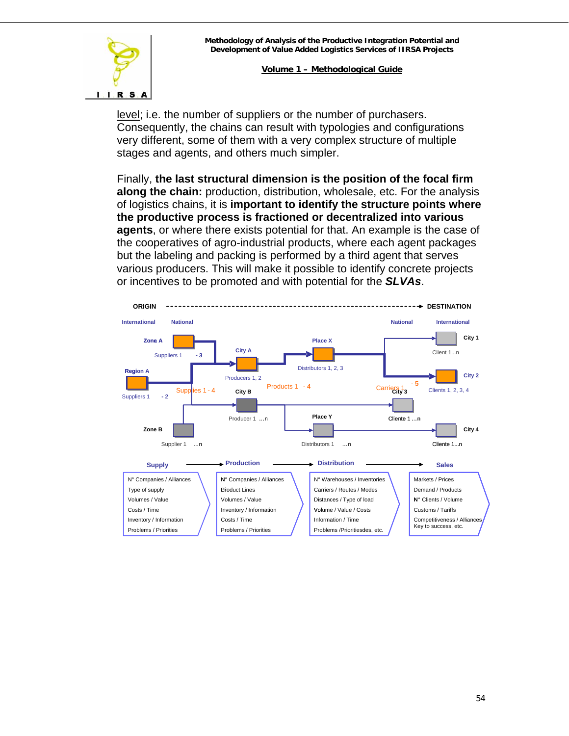

level; i.e. the number of suppliers or the number of purchasers. Consequently, the chains can result with typologies and configurations very different, some of them with a very complex structure of multiple stages and agents, and others much simpler.

Finally, **the last structural dimension is the position of the focal firm along the chain:** production, distribution, wholesale, etc. For the analysis of logistics chains, it is **important to identify the structure points where the productive process is fractioned or decentralized into various agents**, or where there exists potential for that. An example is the case of the cooperatives of agro-industrial products, where each agent packages but the labeling and packing is performed by a third agent that serves various producers. This will make it possible to identify concrete projects or incentives to be promoted and with potential for the *SLVAs*.

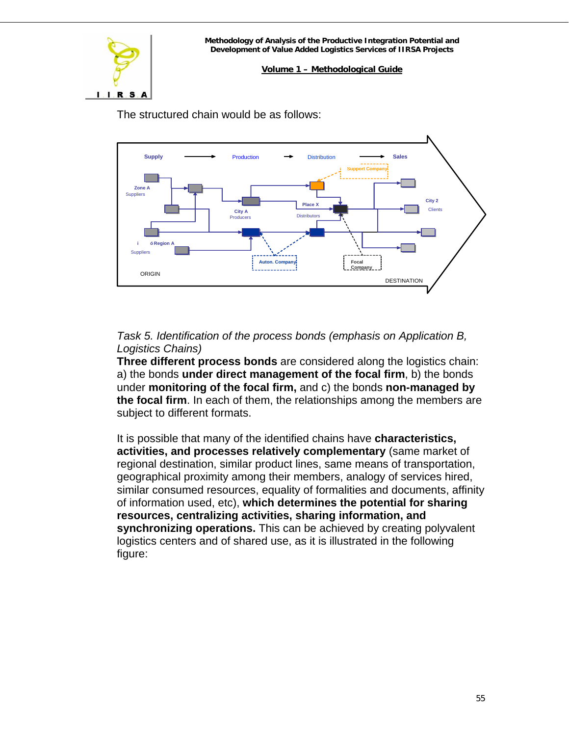

The structured chain would be as follows:



# *Task 5. Identification of the process bonds (emphasis on Application B, Logistics Chains)*

**Three different process bonds** are considered along the logistics chain: a) the bonds **under direct management of the focal firm**, b) the bonds under **monitoring of the focal firm,** and c) the bonds **non-managed by the focal firm**. In each of them, the relationships among the members are subject to different formats.

It is possible that many of the identified chains have **characteristics, activities, and processes relatively complementary** (same market of regional destination, similar product lines, same means of transportation, geographical proximity among their members, analogy of services hired, similar consumed resources, equality of formalities and documents, affinity of information used, etc), **which determines the potential for sharing resources, centralizing activities, sharing information, and synchronizing operations.** This can be achieved by creating polyvalent logistics centers and of shared use, as it is illustrated in the following figure: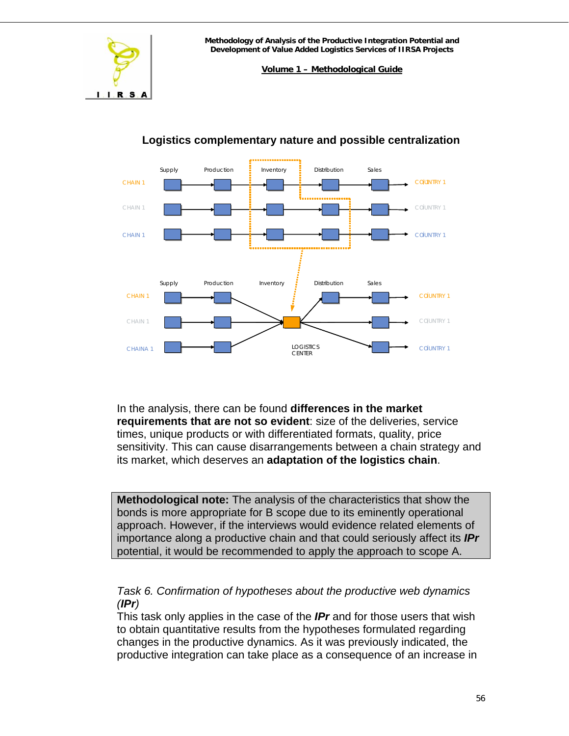

**Volume 1 – Methodological Guide**



# **Logistics complementary nature and possible centralization**

In the analysis, there can be found **differences in the market requirements that are not so evident**: size of the deliveries, service times, unique products or with differentiated formats, quality, price sensitivity. This can cause disarrangements between a chain strategy and its market, which deserves an **adaptation of the logistics chain**.

**Methodological note:** The analysis of the characteristics that show the bonds is more appropriate for B scope due to its eminently operational approach. However, if the interviews would evidence related elements of importance along a productive chain and that could seriously affect its *IPr* potential, it would be recommended to apply the approach to scope A.

# *Task 6. Confirmation of hypotheses about the productive web dynamics (IPr)*

This task only applies in the case of the *IPr* and for those users that wish to obtain quantitative results from the hypotheses formulated regarding changes in the productive dynamics. As it was previously indicated, the productive integration can take place as a consequence of an increase in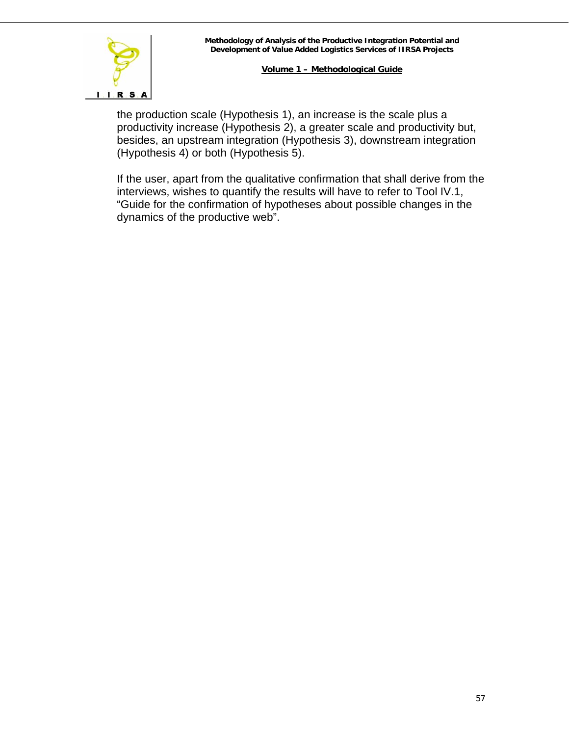

the production scale (Hypothesis 1), an increase is the scale plus a productivity increase (Hypothesis 2), a greater scale and productivity but, besides, an upstream integration (Hypothesis 3), downstream integration (Hypothesis 4) or both (Hypothesis 5).

If the user, apart from the qualitative confirmation that shall derive from the interviews, wishes to quantify the results will have to refer to Tool IV.1, "Guide for the confirmation of hypotheses about possible changes in the dynamics of the productive web".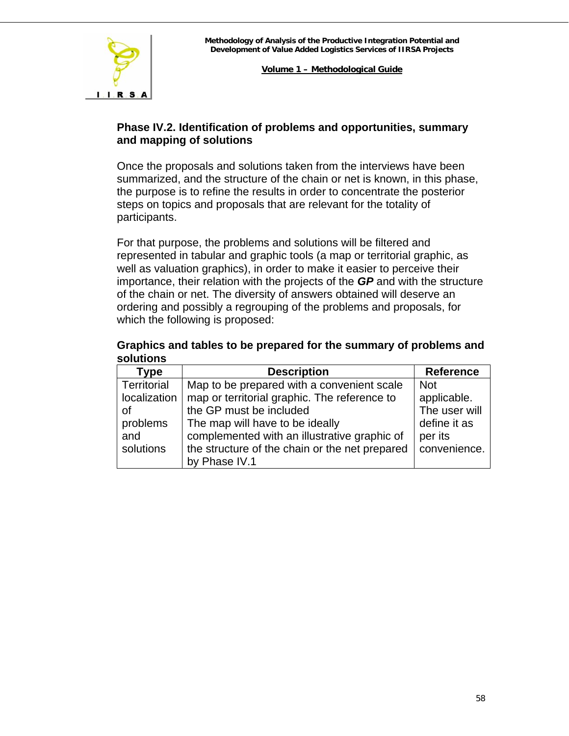

# **Phase IV.2. Identification of problems and opportunities, summary and mapping of solutions**

Once the proposals and solutions taken from the interviews have been summarized, and the structure of the chain or net is known, in this phase, the purpose is to refine the results in order to concentrate the posterior steps on topics and proposals that are relevant for the totality of participants.

For that purpose, the problems and solutions will be filtered and represented in tabular and graphic tools (a map or territorial graphic, as well as valuation graphics), in order to make it easier to perceive their importance, their relation with the projects of the *GP* and with the structure of the chain or net. The diversity of answers obtained will deserve an ordering and possibly a regrouping of the problems and proposals, for which the following is proposed:

#### **Graphics and tables to be prepared for the summary of problems and solutions**

| Type         | <b>Description</b>                             | <b>Reference</b> |
|--------------|------------------------------------------------|------------------|
| Territorial  | Map to be prepared with a convenient scale     | <b>Not</b>       |
| localization | map or territorial graphic. The reference to   | applicable.      |
| οf           | the GP must be included                        | The user will    |
| problems     | The map will have to be ideally                | define it as     |
| and          | complemented with an illustrative graphic of   | per its          |
| solutions    | the structure of the chain or the net prepared | convenience.     |
|              | by Phase IV.1                                  |                  |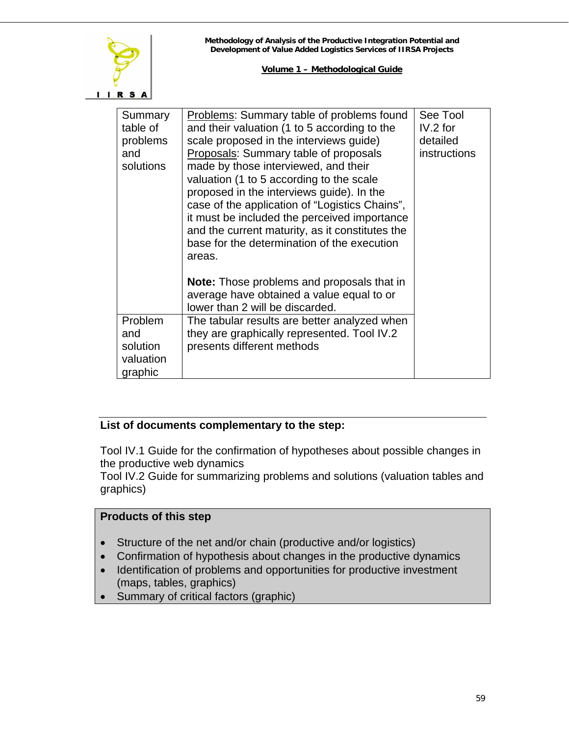

| Summary<br>table of<br>problems<br>and<br>solutions | Problems: Summary table of problems found<br>and their valuation (1 to 5 according to the<br>scale proposed in the interviews guide)<br>Proposals: Summary table of proposals<br>made by those interviewed, and their<br>valuation (1 to 5 according to the scale<br>proposed in the interviews guide). In the<br>case of the application of "Logistics Chains",<br>it must be included the perceived importance<br>and the current maturity, as it constitutes the<br>base for the determination of the execution<br>areas. | See Tool<br>$IV.2$ for<br>detailed<br>instructions |
|-----------------------------------------------------|------------------------------------------------------------------------------------------------------------------------------------------------------------------------------------------------------------------------------------------------------------------------------------------------------------------------------------------------------------------------------------------------------------------------------------------------------------------------------------------------------------------------------|----------------------------------------------------|
| Problem<br>and<br>solution                          | <b>Note:</b> Those problems and proposals that in<br>average have obtained a value equal to or<br>lower than 2 will be discarded.<br>The tabular results are better analyzed when<br>they are graphically represented. Tool IV.2<br>presents different methods                                                                                                                                                                                                                                                               |                                                    |
| valuation<br>graphic                                |                                                                                                                                                                                                                                                                                                                                                                                                                                                                                                                              |                                                    |

# **List of documents complementary to the step:**

Tool IV.1 Guide for the confirmation of hypotheses about possible changes in the productive web dynamics

Tool IV.2 Guide for summarizing problems and solutions (valuation tables and graphics)

# **Products of this step**

- Structure of the net and/or chain (productive and/or logistics)
- Confirmation of hypothesis about changes in the productive dynamics
- Identification of problems and opportunities for productive investment (maps, tables, graphics)
- Summary of critical factors (graphic)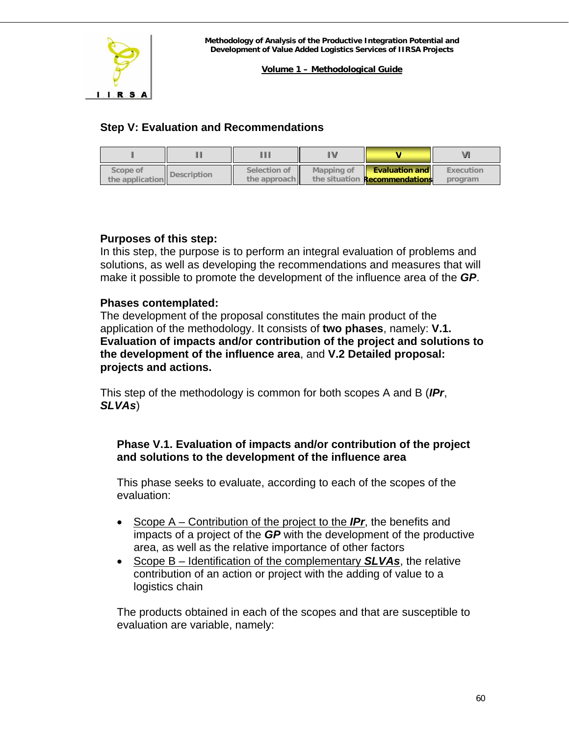<span id="page-59-0"></span>

# **Step V: Evaluation and Recommendations**

| Scope of<br>the application | <b>Description</b> | Selection of<br>the approach | Mapping of | <b>Evaluation and legation</b><br>the situation <b>Recommendations</b> | Execution<br>program |
|-----------------------------|--------------------|------------------------------|------------|------------------------------------------------------------------------|----------------------|

# **Purposes of this step:**

In this step, the purpose is to perform an integral evaluation of problems and solutions, as well as developing the recommendations and measures that will make it possible to promote the development of the influence area of the *GP*.

# **Phases contemplated:**

The development of the proposal constitutes the main product of the application of the methodology. It consists of **two phases**, namely: **V.1. Evaluation of impacts and/or contribution of the project and solutions to the development of the influence area**, and **V.2 Detailed proposal: projects and actions.**

This step of the methodology is common for both scopes A and B (*IPr*, *SLVAs*)

# **Phase V.1. Evaluation of impacts and/or contribution of the project and solutions to the development of the influence area**

This phase seeks to evaluate, according to each of the scopes of the evaluation:

- Scope A Contribution of the project to the *IPr*, the benefits and impacts of a project of the *GP* with the development of the productive area, as well as the relative importance of other factors
- Scope B Identification of the complementary *SLVAs*, the relative contribution of an action or project with the adding of value to a logistics chain

The products obtained in each of the scopes and that are susceptible to evaluation are variable, namely: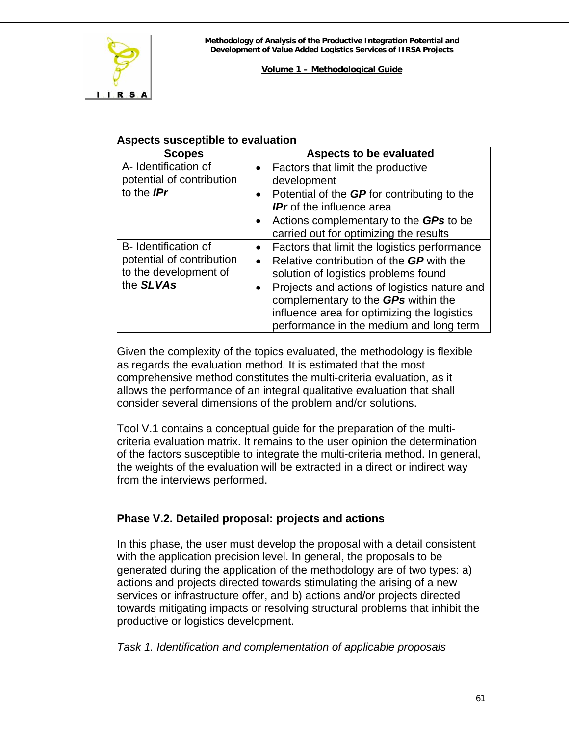

# **Aspects susceptible to evaluation**

| <b>Scopes</b>                                                                           | <b>Aspects to be evaluated</b>                                                                                                                                                                                                                                                                                                                                                                            |
|-----------------------------------------------------------------------------------------|-----------------------------------------------------------------------------------------------------------------------------------------------------------------------------------------------------------------------------------------------------------------------------------------------------------------------------------------------------------------------------------------------------------|
| A- Identification of<br>potential of contribution<br>to the <b>IPr</b>                  | Factors that limit the productive<br>$\bullet$<br>development<br>Potential of the GP for contributing to the<br>$\bullet$<br><b>IPr</b> of the influence area<br>Actions complementary to the GPs to be<br>$\bullet$                                                                                                                                                                                      |
| B- Identification of<br>potential of contribution<br>to the development of<br>the SLVAs | carried out for optimizing the results<br>Factors that limit the logistics performance<br>$\bullet$<br>Relative contribution of the <b>GP</b> with the<br>$\bullet$<br>solution of logistics problems found<br>Projects and actions of logistics nature and<br>$\bullet$<br>complementary to the GPs within the<br>influence area for optimizing the logistics<br>performance in the medium and long term |

Given the complexity of the topics evaluated, the methodology is flexible as regards the evaluation method. It is estimated that the most comprehensive method constitutes the multi-criteria evaluation, as it allows the performance of an integral qualitative evaluation that shall consider several dimensions of the problem and/or solutions.

Tool V.1 contains a conceptual guide for the preparation of the multicriteria evaluation matrix. It remains to the user opinion the determination of the factors susceptible to integrate the multi-criteria method. In general, the weights of the evaluation will be extracted in a direct or indirect way from the interviews performed.

# **Phase V.2. Detailed proposal: projects and actions**

In this phase, the user must develop the proposal with a detail consistent with the application precision level. In general, the proposals to be generated during the application of the methodology are of two types: a) actions and projects directed towards stimulating the arising of a new services or infrastructure offer, and b) actions and/or projects directed towards mitigating impacts or resolving structural problems that inhibit the productive or logistics development.

*Task 1. Identification and complementation of applicable proposals*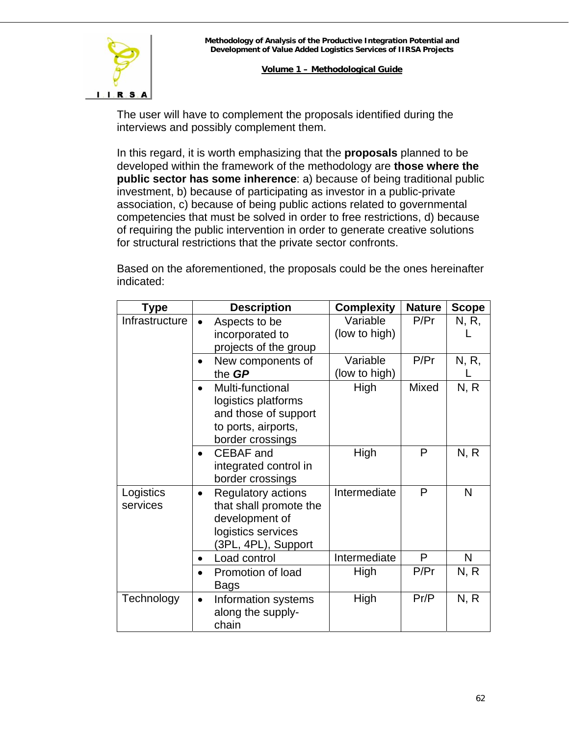

The user will have to complement the proposals identified during the interviews and possibly complement them.

In this regard, it is worth emphasizing that the **proposals** planned to be developed within the framework of the methodology are **those where the public sector has some inherence**: a) because of being traditional public investment, b) because of participating as investor in a public-private association, c) because of being public actions related to governmental competencies that must be solved in order to free restrictions, d) because of requiring the public intervention in order to generate creative solutions for structural restrictions that the private sector confronts.

Based on the aforementioned, the proposals could be the ones hereinafter indicated:

| <b>Type</b>           | <b>Description</b>                                                                                                              | <b>Complexity</b>         | <b>Nature</b> | <b>Scope</b> |
|-----------------------|---------------------------------------------------------------------------------------------------------------------------------|---------------------------|---------------|--------------|
| Infrastructure        | Aspects to be<br>incorporated to<br>projects of the group                                                                       | Variable<br>(low to high) | P/Pr          | N, R,        |
|                       | New components of<br>the GP                                                                                                     | Variable<br>(low to high) | P/Pr          | N, R,        |
|                       | Multi-functional<br>logistics platforms<br>and those of support<br>to ports, airports,<br>border crossings                      | High                      | Mixed         | N, R         |
|                       | <b>CEBAF</b> and<br>integrated control in<br>border crossings                                                                   | High                      | P             | N, R         |
| Logistics<br>services | <b>Regulatory actions</b><br>$\bullet$<br>that shall promote the<br>development of<br>logistics services<br>(3PL, 4PL), Support | Intermediate              | P             | N            |
|                       | Load control                                                                                                                    | Intermediate              | P             | N            |
|                       | Promotion of load<br><b>Bags</b>                                                                                                | High                      | P/Pr          | N, R         |
| Technology            | Information systems<br>$\bullet$<br>along the supply-<br>chain                                                                  | High                      | Pr/P          | N, R         |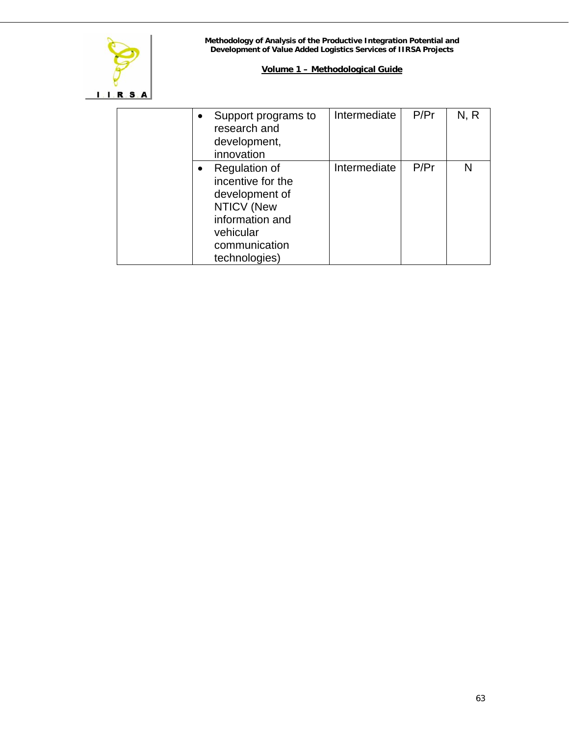

| $\bullet$ | Support programs to<br>research and                                                                                                  | Intermediate | P/Pr | N, R |
|-----------|--------------------------------------------------------------------------------------------------------------------------------------|--------------|------|------|
|           | development,<br>innovation                                                                                                           |              |      |      |
| $\bullet$ | Regulation of<br>incentive for the<br>development of<br>NTICV (New<br>information and<br>vehicular<br>communication<br>technologies) | Intermediate | P/Pr |      |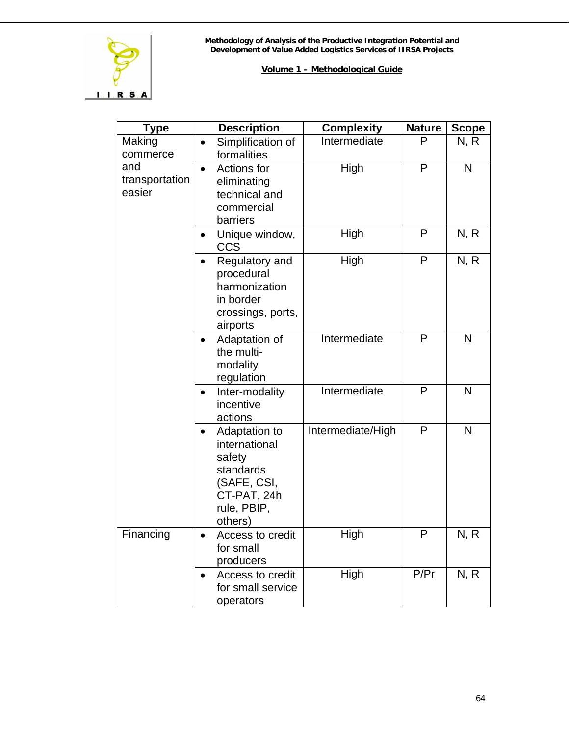

| <b>Type</b>                     | <b>Description</b>                                                                                                         | <b>Complexity</b> | <b>Nature</b> | <b>Scope</b> |
|---------------------------------|----------------------------------------------------------------------------------------------------------------------------|-------------------|---------------|--------------|
| Making<br>commerce              | Simplification of<br>$\bullet$<br>formalities                                                                              | Intermediate      | P             | N, R         |
| and<br>transportation<br>easier | Actions for<br>$\bullet$<br>eliminating<br>technical and<br>commercial<br>barriers                                         | High              | P             | N            |
|                                 | Unique window,<br>$\bullet$<br><b>CCS</b>                                                                                  | High              | P             | N, R         |
|                                 | Regulatory and<br>$\bullet$<br>procedural<br>harmonization<br>in border<br>crossings, ports,<br>airports                   | High              | P             | N, R         |
|                                 | Adaptation of<br>$\bullet$<br>the multi-<br>modality<br>regulation                                                         | Intermediate      | P             | $\mathsf{N}$ |
|                                 | Inter-modality<br>$\bullet$<br>incentive<br>actions                                                                        | Intermediate      | P             | $\mathsf{N}$ |
|                                 | Adaptation to<br>$\bullet$<br>international<br>safety<br>standards<br>(SAFE, CSI,<br>CT-PAT, 24h<br>rule, PBIP,<br>others) | Intermediate/High | P             | $\mathsf{N}$ |
| Financing                       | Access to credit<br>$\bullet$<br>for small<br>producers                                                                    | High              | P             | N, R         |
|                                 | Access to credit<br>$\bullet$<br>for small service<br>operators                                                            | High              | P/Pr          | N, R         |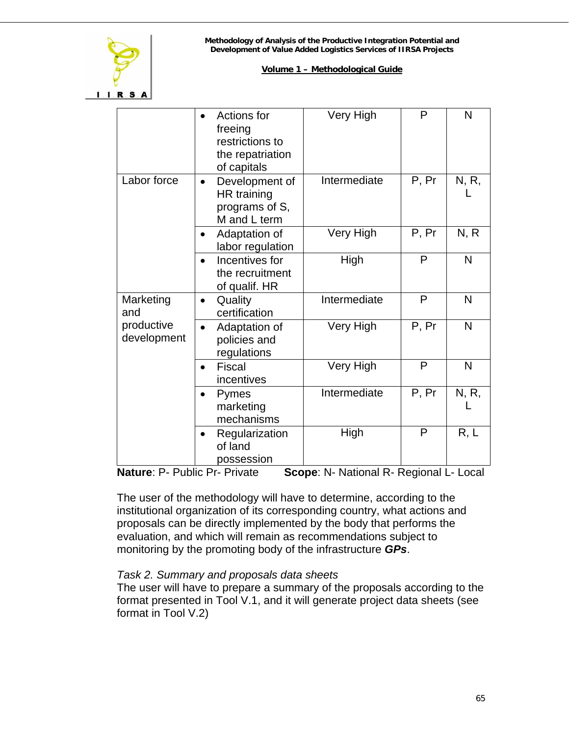

#### **Volume 1 – Methodological Guide**

|                           | Actions for<br>freeing<br>restrictions to<br>the repatriation<br>of capitals | Very High    | P     | N     |
|---------------------------|------------------------------------------------------------------------------|--------------|-------|-------|
| Labor force               | Development of<br>HR training<br>programs of S,<br>M and L term              | Intermediate | P, Pr | N, R, |
|                           | Adaptation of<br>labor regulation                                            | Very High    | P, Pr | N, R  |
|                           | Incentives for<br>the recruitment<br>of qualif. HR                           | High         | P     | N     |
| Marketing<br>and          | Quality<br>certification                                                     | Intermediate | P     | N     |
| productive<br>development | Adaptation of<br>policies and<br>regulations                                 | Very High    | P, Pr | N     |
|                           | <b>Fiscal</b><br>incentives                                                  | Very High    | P     | N     |
|                           | Pymes<br>$\bullet$<br>marketing<br>mechanisms                                | Intermediate | P, Pr | N, R, |
|                           | Regularization<br>of land<br>possession                                      | High         | P     | R, L  |

**Nature**: P- Public Pr- Private **Scope**: N- National R- Regional L- Local

The user of the methodology will have to determine, according to the institutional organization of its corresponding country, what actions and proposals can be directly implemented by the body that performs the evaluation, and which will remain as recommendations subject to monitoring by the promoting body of the infrastructure *GPs*.

#### *Task 2. Summary and proposals data sheets*

The user will have to prepare a summary of the proposals according to the format presented in Tool V.1, and it will generate project data sheets (see format in Tool V.2)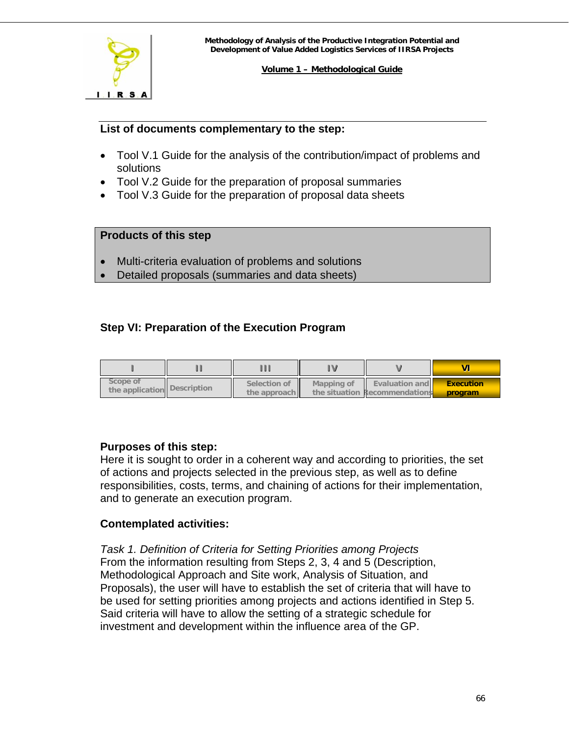<span id="page-65-0"></span>

#### **List of documents complementary to the step:**

- Tool V.1 Guide for the analysis of the contribution/impact of problems and solutions
- Tool V.2 Guide for the preparation of proposal summaries
- Tool V.3 Guide for the preparation of proposal data sheets

#### **Products of this step**

- Multi-criteria evaluation of problems and solutions
- Detailed proposals (summaries and data sheets)

# **Step VI: Preparation of the Execution Program**

| Scope of<br>the application Description | Selection of<br>the approach | Mapping of | <b>Evaluation and</b><br>the situation Recommendations | <b>Execution</b><br>program |
|-----------------------------------------|------------------------------|------------|--------------------------------------------------------|-----------------------------|

# **Purposes of this step:**

Here it is sought to order in a coherent way and according to priorities, the set of actions and projects selected in the previous step, as well as to define responsibilities, costs, terms, and chaining of actions for their implementation, and to generate an execution program.

# **Contemplated activities:**

*Task 1. Definition of Criteria for Setting Priorities among Projects*  From the information resulting from Steps 2, 3, 4 and 5 (Description, Methodological Approach and Site work, Analysis of Situation, and Proposals), the user will have to establish the set of criteria that will have to be used for setting priorities among projects and actions identified in Step 5. Said criteria will have to allow the setting of a strategic schedule for investment and development within the influence area of the GP.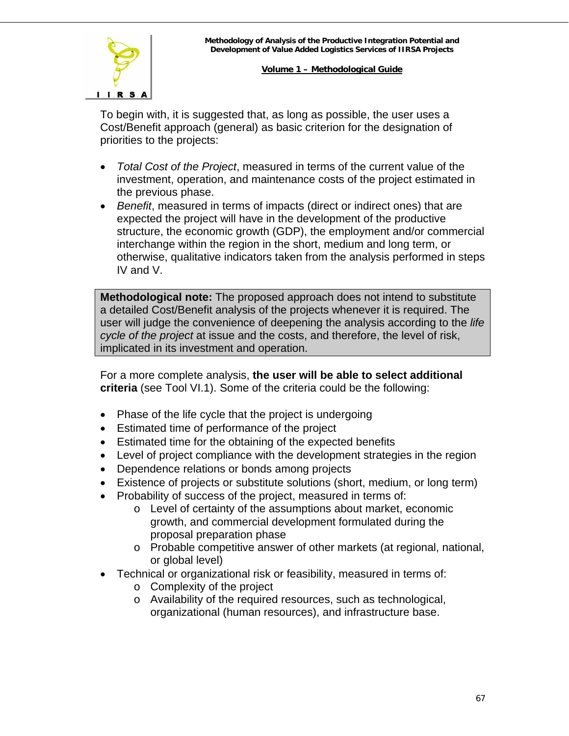

To begin with, it is suggested that, as long as possible, the user uses a Cost/Benefit approach (general) as basic criterion for the designation of priorities to the projects:

- *Total Cost of the Project*, measured in terms of the current value of the investment, operation, and maintenance costs of the project estimated in the previous phase.
- *Benefit*, measured in terms of impacts (direct or indirect ones) that are expected the project will have in the development of the productive structure, the economic growth (GDP), the employment and/or commercial interchange within the region in the short, medium and long term, or otherwise, qualitative indicators taken from the analysis performed in steps IV and V.

**Methodological note:** The proposed approach does not intend to substitute a detailed Cost/Benefit analysis of the projects whenever it is required. The user will judge the convenience of deepening the analysis according to the *life cycle of the project* at issue and the costs, and therefore, the level of risk, implicated in its investment and operation.

For a more complete analysis, **the user will be able to select additional criteria** (see Tool VI.1). Some of the criteria could be the following:

- Phase of the life cycle that the project is undergoing
- Estimated time of performance of the project
- Estimated time for the obtaining of the expected benefits
- Level of project compliance with the development strategies in the region
- Dependence relations or bonds among projects
- Existence of projects or substitute solutions (short, medium, or long term)
- Probability of success of the project, measured in terms of:
	- o Level of certainty of the assumptions about market, economic growth, and commercial development formulated during the proposal preparation phase
	- o Probable competitive answer of other markets (at regional, national, or global level)
- Technical or organizational risk or feasibility, measured in terms of:
	- o Complexity of the project
	- o Availability of the required resources, such as technological, organizational (human resources), and infrastructure base.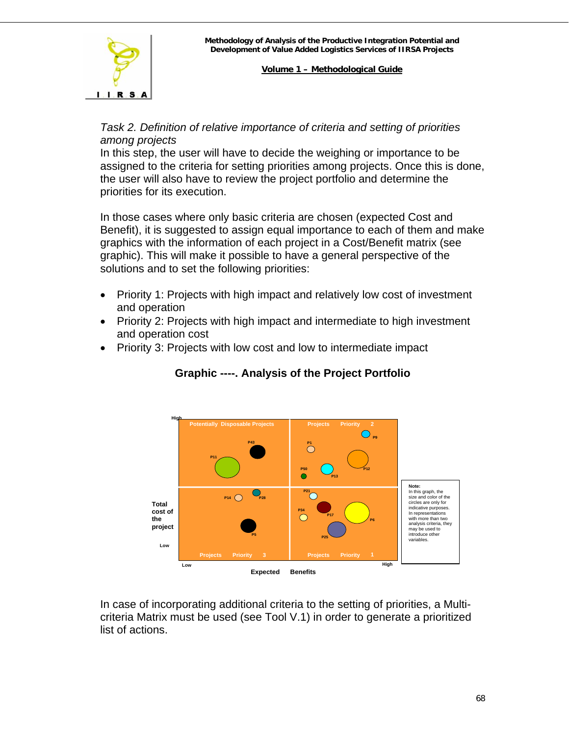

# *Task 2. Definition of relative importance of criteria and setting of priorities among projects*

In this step, the user will have to decide the weighing or importance to be assigned to the criteria for setting priorities among projects. Once this is done, the user will also have to review the project portfolio and determine the priorities for its execution.

In those cases where only basic criteria are chosen (expected Cost and Benefit), it is suggested to assign equal importance to each of them and make graphics with the information of each project in a Cost/Benefit matrix (see graphic). This will make it possible to have a general perspective of the solutions and to set the following priorities:

- Priority 1: Projects with high impact and relatively low cost of investment and operation
- Priority 2: Projects with high impact and intermediate to high investment and operation cost
- Priority 3: Projects with low cost and low to intermediate impact



# **Graphic ----. Analysis of the Project Portfolio**

In ca[se of incorporating additional criteria to the setting of priorities, a Mul](#page-2-1)ticriteria Matrix must be used (see Tool V.1) in order to generate a prioritized list of actions.